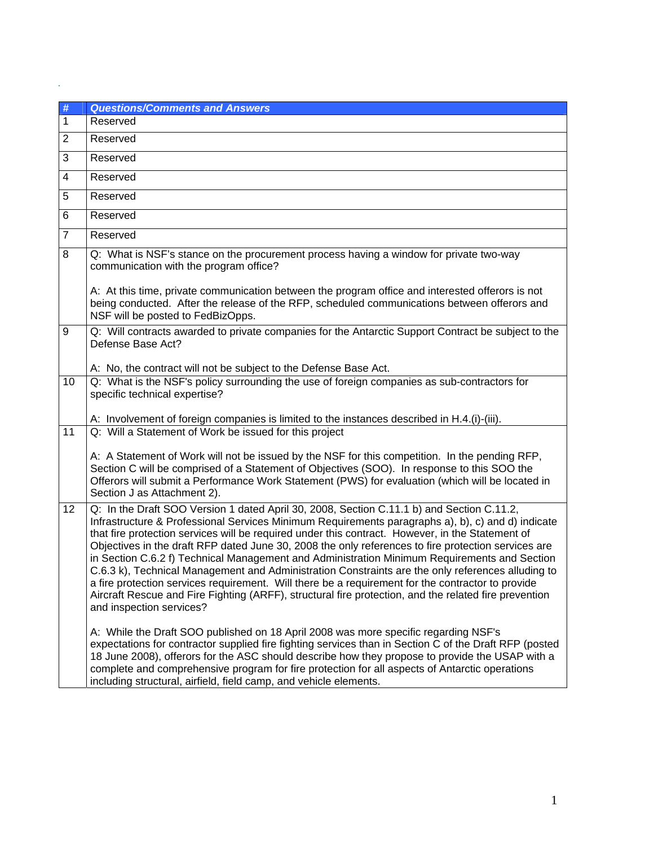| #  | <b>Questions/Comments and Answers</b>                                                                                                                                                                                                                                                                                                                                                                                                                                                                                                                                                                                                                                                                                                                                                                                                                    |
|----|----------------------------------------------------------------------------------------------------------------------------------------------------------------------------------------------------------------------------------------------------------------------------------------------------------------------------------------------------------------------------------------------------------------------------------------------------------------------------------------------------------------------------------------------------------------------------------------------------------------------------------------------------------------------------------------------------------------------------------------------------------------------------------------------------------------------------------------------------------|
| 1  | Reserved                                                                                                                                                                                                                                                                                                                                                                                                                                                                                                                                                                                                                                                                                                                                                                                                                                                 |
| 2  | Reserved                                                                                                                                                                                                                                                                                                                                                                                                                                                                                                                                                                                                                                                                                                                                                                                                                                                 |
| 3  | Reserved                                                                                                                                                                                                                                                                                                                                                                                                                                                                                                                                                                                                                                                                                                                                                                                                                                                 |
| 4  | Reserved                                                                                                                                                                                                                                                                                                                                                                                                                                                                                                                                                                                                                                                                                                                                                                                                                                                 |
| 5  | Reserved                                                                                                                                                                                                                                                                                                                                                                                                                                                                                                                                                                                                                                                                                                                                                                                                                                                 |
| 6  | Reserved                                                                                                                                                                                                                                                                                                                                                                                                                                                                                                                                                                                                                                                                                                                                                                                                                                                 |
| 7  | Reserved                                                                                                                                                                                                                                                                                                                                                                                                                                                                                                                                                                                                                                                                                                                                                                                                                                                 |
| 8  | Q: What is NSF's stance on the procurement process having a window for private two-way<br>communication with the program office?                                                                                                                                                                                                                                                                                                                                                                                                                                                                                                                                                                                                                                                                                                                         |
|    | A: At this time, private communication between the program office and interested offerors is not<br>being conducted. After the release of the RFP, scheduled communications between offerors and<br>NSF will be posted to FedBizOpps.                                                                                                                                                                                                                                                                                                                                                                                                                                                                                                                                                                                                                    |
| 9  | Q: Will contracts awarded to private companies for the Antarctic Support Contract be subject to the<br>Defense Base Act?                                                                                                                                                                                                                                                                                                                                                                                                                                                                                                                                                                                                                                                                                                                                 |
|    | A: No, the contract will not be subject to the Defense Base Act.                                                                                                                                                                                                                                                                                                                                                                                                                                                                                                                                                                                                                                                                                                                                                                                         |
| 10 | Q: What is the NSF's policy surrounding the use of foreign companies as sub-contractors for<br>specific technical expertise?                                                                                                                                                                                                                                                                                                                                                                                                                                                                                                                                                                                                                                                                                                                             |
|    | A: Involvement of foreign companies is limited to the instances described in H.4.(i)-(iii).                                                                                                                                                                                                                                                                                                                                                                                                                                                                                                                                                                                                                                                                                                                                                              |
| 11 | Q: Will a Statement of Work be issued for this project                                                                                                                                                                                                                                                                                                                                                                                                                                                                                                                                                                                                                                                                                                                                                                                                   |
|    | A: A Statement of Work will not be issued by the NSF for this competition. In the pending RFP,<br>Section C will be comprised of a Statement of Objectives (SOO). In response to this SOO the<br>Offerors will submit a Performance Work Statement (PWS) for evaluation (which will be located in<br>Section J as Attachment 2).                                                                                                                                                                                                                                                                                                                                                                                                                                                                                                                         |
| 12 | Q: In the Draft SOO Version 1 dated April 30, 2008, Section C.11.1 b) and Section C.11.2,<br>Infrastructure & Professional Services Minimum Requirements paragraphs a), b), c) and d) indicate<br>that fire protection services will be required under this contract. However, in the Statement of<br>Objectives in the draft RFP dated June 30, 2008 the only references to fire protection services are<br>in Section C.6.2 f) Technical Management and Administration Minimum Requirements and Section<br>C.6.3 k), Technical Management and Administration Constraints are the only references alluding to<br>a fire protection services requirement. Will there be a requirement for the contractor to provide<br>Aircraft Rescue and Fire Fighting (ARFF), structural fire protection, and the related fire prevention<br>and inspection services? |
|    | A: While the Draft SOO published on 18 April 2008 was more specific regarding NSF's<br>expectations for contractor supplied fire fighting services than in Section C of the Draft RFP (posted<br>18 June 2008), offerors for the ASC should describe how they propose to provide the USAP with a<br>complete and comprehensive program for fire protection for all aspects of Antarctic operations<br>including structural, airfield, field camp, and vehicle elements.                                                                                                                                                                                                                                                                                                                                                                                  |

.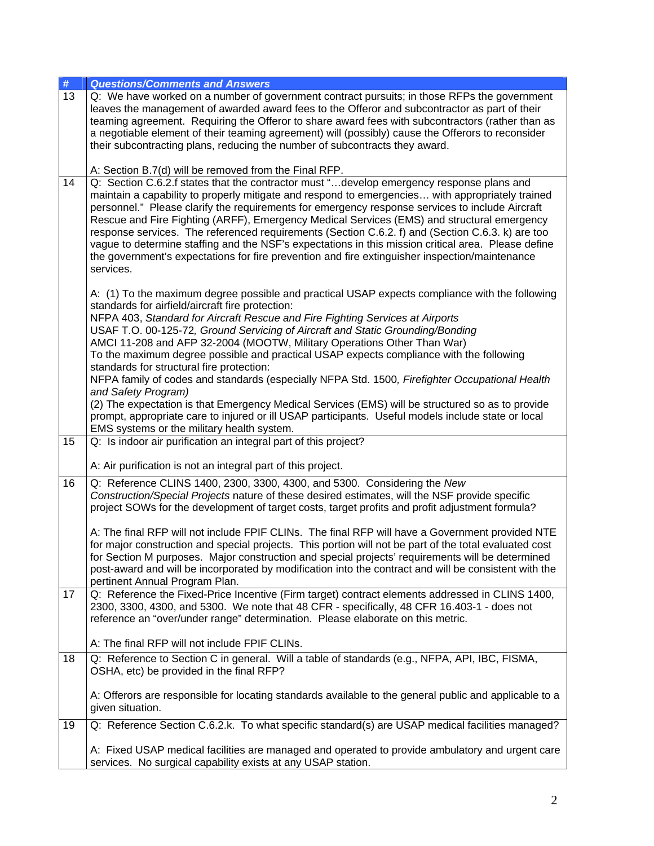| #  | <b>Questions/Comments and Answers</b>                                                                                                                                                                                                                                                                                                                                                                                                                                                                                                                                                                                                                                                                                   |
|----|-------------------------------------------------------------------------------------------------------------------------------------------------------------------------------------------------------------------------------------------------------------------------------------------------------------------------------------------------------------------------------------------------------------------------------------------------------------------------------------------------------------------------------------------------------------------------------------------------------------------------------------------------------------------------------------------------------------------------|
| 13 | Q: We have worked on a number of government contract pursuits; in those RFPs the government<br>leaves the management of awarded award fees to the Offeror and subcontractor as part of their<br>teaming agreement. Requiring the Offeror to share award fees with subcontractors (rather than as<br>a negotiable element of their teaming agreement) will (possibly) cause the Offerors to reconsider<br>their subcontracting plans, reducing the number of subcontracts they award.<br>A: Section B.7(d) will be removed from the Final RFP.                                                                                                                                                                           |
| 14 | Q: Section C.6.2.f states that the contractor must "develop emergency response plans and<br>maintain a capability to properly mitigate and respond to emergencies with appropriately trained<br>personnel." Please clarify the requirements for emergency response services to include Aircraft<br>Rescue and Fire Fighting (ARFF), Emergency Medical Services (EMS) and structural emergency<br>response services. The referenced requirements (Section C.6.2. f) and (Section C.6.3. k) are too<br>vague to determine staffing and the NSF's expectations in this mission critical area. Please define<br>the government's expectations for fire prevention and fire extinguisher inspection/maintenance<br>services. |
|    | A: (1) To the maximum degree possible and practical USAP expects compliance with the following<br>standards for airfield/aircraft fire protection:<br>NFPA 403, Standard for Aircraft Rescue and Fire Fighting Services at Airports<br>USAF T.O. 00-125-72, Ground Servicing of Aircraft and Static Grounding/Bonding<br>AMCI 11-208 and AFP 32-2004 (MOOTW, Military Operations Other Than War)<br>To the maximum degree possible and practical USAP expects compliance with the following<br>standards for structural fire protection:<br>NFPA family of codes and standards (especially NFPA Std. 1500, Firefighter Occupational Health                                                                              |
|    | and Safety Program)<br>(2) The expectation is that Emergency Medical Services (EMS) will be structured so as to provide<br>prompt, appropriate care to injured or ill USAP participants. Useful models include state or local<br>EMS systems or the military health system.                                                                                                                                                                                                                                                                                                                                                                                                                                             |
| 15 | Q: Is indoor air purification an integral part of this project?<br>A: Air purification is not an integral part of this project.                                                                                                                                                                                                                                                                                                                                                                                                                                                                                                                                                                                         |
|    |                                                                                                                                                                                                                                                                                                                                                                                                                                                                                                                                                                                                                                                                                                                         |
| 16 | Q: Reference CLINS 1400, 2300, 3300, 4300, and 5300. Considering the New<br>Construction/Special Projects nature of these desired estimates, will the NSF provide specific<br>project SOWs for the development of target costs, target profits and profit adjustment formula?                                                                                                                                                                                                                                                                                                                                                                                                                                           |
|    | A: The final RFP will not include FPIF CLINs. The final RFP will have a Government provided NTE<br>for major construction and special projects. This portion will not be part of the total evaluated cost<br>for Section M purposes. Major construction and special projects' requirements will be determined<br>post-award and will be incorporated by modification into the contract and will be consistent with the<br>pertinent Annual Program Plan.                                                                                                                                                                                                                                                                |
| 17 | Q: Reference the Fixed-Price Incentive (Firm target) contract elements addressed in CLINS 1400,<br>2300, 3300, 4300, and 5300. We note that 48 CFR - specifically, 48 CFR 16.403-1 - does not<br>reference an "over/under range" determination. Please elaborate on this metric.                                                                                                                                                                                                                                                                                                                                                                                                                                        |
|    | A: The final RFP will not include FPIF CLINs.                                                                                                                                                                                                                                                                                                                                                                                                                                                                                                                                                                                                                                                                           |
| 18 | Q: Reference to Section C in general. Will a table of standards (e.g., NFPA, API, IBC, FISMA,<br>OSHA, etc) be provided in the final RFP?                                                                                                                                                                                                                                                                                                                                                                                                                                                                                                                                                                               |
|    | A: Offerors are responsible for locating standards available to the general public and applicable to a<br>given situation.                                                                                                                                                                                                                                                                                                                                                                                                                                                                                                                                                                                              |
| 19 | Q: Reference Section C.6.2.k. To what specific standard(s) are USAP medical facilities managed?                                                                                                                                                                                                                                                                                                                                                                                                                                                                                                                                                                                                                         |
|    | A: Fixed USAP medical facilities are managed and operated to provide ambulatory and urgent care<br>services. No surgical capability exists at any USAP station.                                                                                                                                                                                                                                                                                                                                                                                                                                                                                                                                                         |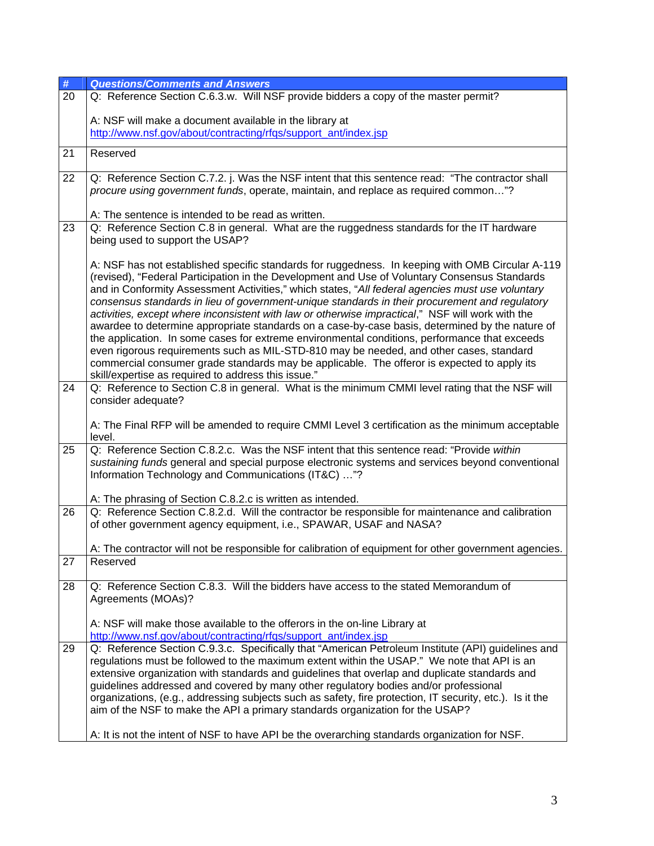| $\#$            | <b>Questions/Comments and Answers</b>                                                                                                                                                               |
|-----------------|-----------------------------------------------------------------------------------------------------------------------------------------------------------------------------------------------------|
| $\overline{20}$ | Q: Reference Section C.6.3.w. Will NSF provide bidders a copy of the master permit?                                                                                                                 |
|                 | A: NSF will make a document available in the library at                                                                                                                                             |
|                 | http://www.nsf.gov/about/contracting/rfqs/support_ant/index.jsp                                                                                                                                     |
|                 |                                                                                                                                                                                                     |
| 21              | Reserved                                                                                                                                                                                            |
| 22              | Q: Reference Section C.7.2. j. Was the NSF intent that this sentence read: "The contractor shall                                                                                                    |
|                 | procure using government funds, operate, maintain, and replace as required common"?                                                                                                                 |
|                 |                                                                                                                                                                                                     |
| 23              | A: The sentence is intended to be read as written.<br>Q: Reference Section C.8 in general. What are the ruggedness standards for the IT hardware                                                    |
|                 | being used to support the USAP?                                                                                                                                                                     |
|                 | A: NSF has not established specific standards for ruggedness. In keeping with OMB Circular A-119                                                                                                    |
|                 | (revised), "Federal Participation in the Development and Use of Voluntary Consensus Standards                                                                                                       |
|                 | and in Conformity Assessment Activities," which states, "All federal agencies must use voluntary                                                                                                    |
|                 | consensus standards in lieu of government-unique standards in their procurement and regulatory                                                                                                      |
|                 | activities, except where inconsistent with law or otherwise impractical," NSF will work with the<br>awardee to determine appropriate standards on a case-by-case basis, determined by the nature of |
|                 | the application. In some cases for extreme environmental conditions, performance that exceeds                                                                                                       |
|                 | even rigorous requirements such as MIL-STD-810 may be needed, and other cases, standard                                                                                                             |
|                 | commercial consumer grade standards may be applicable. The offeror is expected to apply its                                                                                                         |
|                 | skill/expertise as required to address this issue."                                                                                                                                                 |
| 24              | Q: Reference to Section C.8 in general. What is the minimum CMMI level rating that the NSF will                                                                                                     |
|                 | consider adequate?                                                                                                                                                                                  |
|                 |                                                                                                                                                                                                     |
|                 | A: The Final RFP will be amended to require CMMI Level 3 certification as the minimum acceptable<br>level.                                                                                          |
| 25              | Q: Reference Section C.8.2.c. Was the NSF intent that this sentence read: "Provide within                                                                                                           |
|                 | sustaining funds general and special purpose electronic systems and services beyond conventional                                                                                                    |
|                 | Information Technology and Communications (IT&C) "?                                                                                                                                                 |
|                 |                                                                                                                                                                                                     |
|                 | A: The phrasing of Section C.8.2.c is written as intended.                                                                                                                                          |
| 26              | Q: Reference Section C.8.2.d. Will the contractor be responsible for maintenance and calibration                                                                                                    |
|                 | of other government agency equipment, i.e., SPAWAR, USAF and NASA?                                                                                                                                  |
|                 | A: The contractor will not be responsible for calibration of equipment for other government agencies.                                                                                               |
| 27              | Reserved                                                                                                                                                                                            |
|                 |                                                                                                                                                                                                     |
| 28              | Q: Reference Section C.8.3. Will the bidders have access to the stated Memorandum of                                                                                                                |
|                 | Agreements (MOAs)?                                                                                                                                                                                  |
|                 |                                                                                                                                                                                                     |
|                 | A: NSF will make those available to the offerors in the on-line Library at                                                                                                                          |
|                 | http://www.nsf.gov/about/contracting/rfqs/support_ant/index.jsp                                                                                                                                     |
| 29              | Q: Reference Section C.9.3.c. Specifically that "American Petroleum Institute (API) guidelines and<br>regulations must be followed to the maximum extent within the USAP." We note that API is an   |
|                 | extensive organization with standards and guidelines that overlap and duplicate standards and                                                                                                       |
|                 | guidelines addressed and covered by many other regulatory bodies and/or professional                                                                                                                |
|                 | organizations, (e.g., addressing subjects such as safety, fire protection, IT security, etc.). Is it the                                                                                            |
|                 | aim of the NSF to make the API a primary standards organization for the USAP?                                                                                                                       |
|                 |                                                                                                                                                                                                     |
|                 | A: It is not the intent of NSF to have API be the overarching standards organization for NSF.                                                                                                       |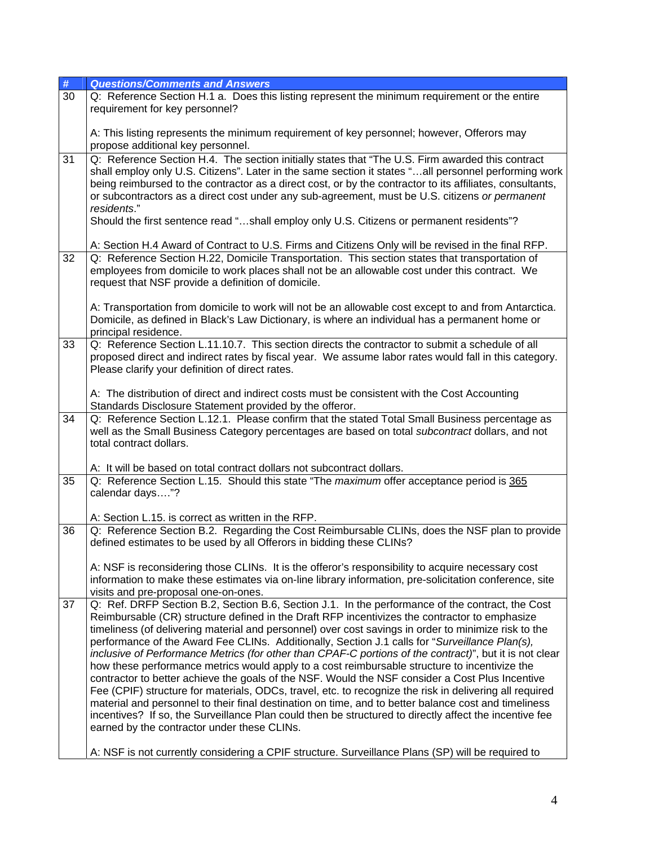| #  | <b>Questions/Comments and Answers</b>                                                                                                                                                                                                                                                                                                                                                                                                                                                                                                                                                                                                                                                                                                                                                                                                                                                                                                                                                                                                                                                                                                                                                                       |
|----|-------------------------------------------------------------------------------------------------------------------------------------------------------------------------------------------------------------------------------------------------------------------------------------------------------------------------------------------------------------------------------------------------------------------------------------------------------------------------------------------------------------------------------------------------------------------------------------------------------------------------------------------------------------------------------------------------------------------------------------------------------------------------------------------------------------------------------------------------------------------------------------------------------------------------------------------------------------------------------------------------------------------------------------------------------------------------------------------------------------------------------------------------------------------------------------------------------------|
| 30 | Q: Reference Section H.1 a. Does this listing represent the minimum requirement or the entire<br>requirement for key personnel?                                                                                                                                                                                                                                                                                                                                                                                                                                                                                                                                                                                                                                                                                                                                                                                                                                                                                                                                                                                                                                                                             |
|    | A: This listing represents the minimum requirement of key personnel; however, Offerors may<br>propose additional key personnel.                                                                                                                                                                                                                                                                                                                                                                                                                                                                                                                                                                                                                                                                                                                                                                                                                                                                                                                                                                                                                                                                             |
| 31 | Q: Reference Section H.4. The section initially states that "The U.S. Firm awarded this contract<br>shall employ only U.S. Citizens". Later in the same section it states "all personnel performing work<br>being reimbursed to the contractor as a direct cost, or by the contractor to its affiliates, consultants,<br>or subcontractors as a direct cost under any sub-agreement, must be U.S. citizens or permanent<br>residents."<br>Should the first sentence read "shall employ only U.S. Citizens or permanent residents"?                                                                                                                                                                                                                                                                                                                                                                                                                                                                                                                                                                                                                                                                          |
|    | A: Section H.4 Award of Contract to U.S. Firms and Citizens Only will be revised in the final RFP.                                                                                                                                                                                                                                                                                                                                                                                                                                                                                                                                                                                                                                                                                                                                                                                                                                                                                                                                                                                                                                                                                                          |
| 32 | Q: Reference Section H.22, Domicile Transportation. This section states that transportation of<br>employees from domicile to work places shall not be an allowable cost under this contract. We<br>request that NSF provide a definition of domicile.                                                                                                                                                                                                                                                                                                                                                                                                                                                                                                                                                                                                                                                                                                                                                                                                                                                                                                                                                       |
|    | A: Transportation from domicile to work will not be an allowable cost except to and from Antarctica.<br>Domicile, as defined in Black's Law Dictionary, is where an individual has a permanent home or<br>principal residence.                                                                                                                                                                                                                                                                                                                                                                                                                                                                                                                                                                                                                                                                                                                                                                                                                                                                                                                                                                              |
| 33 | Q: Reference Section L.11.10.7. This section directs the contractor to submit a schedule of all<br>proposed direct and indirect rates by fiscal year. We assume labor rates would fall in this category.<br>Please clarify your definition of direct rates.                                                                                                                                                                                                                                                                                                                                                                                                                                                                                                                                                                                                                                                                                                                                                                                                                                                                                                                                                 |
|    | A: The distribution of direct and indirect costs must be consistent with the Cost Accounting<br>Standards Disclosure Statement provided by the offeror.                                                                                                                                                                                                                                                                                                                                                                                                                                                                                                                                                                                                                                                                                                                                                                                                                                                                                                                                                                                                                                                     |
| 34 | Q: Reference Section L.12.1. Please confirm that the stated Total Small Business percentage as<br>well as the Small Business Category percentages are based on total subcontract dollars, and not<br>total contract dollars.                                                                                                                                                                                                                                                                                                                                                                                                                                                                                                                                                                                                                                                                                                                                                                                                                                                                                                                                                                                |
|    | A: It will be based on total contract dollars not subcontract dollars.                                                                                                                                                                                                                                                                                                                                                                                                                                                                                                                                                                                                                                                                                                                                                                                                                                                                                                                                                                                                                                                                                                                                      |
| 35 | Q: Reference Section L.15. Should this state "The maximum offer acceptance period is 365<br>calendar days"?                                                                                                                                                                                                                                                                                                                                                                                                                                                                                                                                                                                                                                                                                                                                                                                                                                                                                                                                                                                                                                                                                                 |
|    | A: Section L.15. is correct as written in the RFP.                                                                                                                                                                                                                                                                                                                                                                                                                                                                                                                                                                                                                                                                                                                                                                                                                                                                                                                                                                                                                                                                                                                                                          |
| 36 | Q: Reference Section B.2. Regarding the Cost Reimbursable CLINs, does the NSF plan to provide<br>defined estimates to be used by all Offerors in bidding these CLINs?                                                                                                                                                                                                                                                                                                                                                                                                                                                                                                                                                                                                                                                                                                                                                                                                                                                                                                                                                                                                                                       |
|    | A: NSF is reconsidering those CLINs. It is the offeror's responsibility to acquire necessary cost<br>information to make these estimates via on-line library information, pre-solicitation conference, site<br>visits and pre-proposal one-on-ones.                                                                                                                                                                                                                                                                                                                                                                                                                                                                                                                                                                                                                                                                                                                                                                                                                                                                                                                                                         |
| 37 | Q: Ref. DRFP Section B.2, Section B.6, Section J.1. In the performance of the contract, the Cost<br>Reimbursable (CR) structure defined in the Draft RFP incentivizes the contractor to emphasize<br>timeliness (of delivering material and personnel) over cost savings in order to minimize risk to the<br>performance of the Award Fee CLINs. Additionally, Section J.1 calls for "Surveillance Plan(s),<br>inclusive of Performance Metrics (for other than CPAF-C portions of the contract)", but it is not clear<br>how these performance metrics would apply to a cost reimbursable structure to incentivize the<br>contractor to better achieve the goals of the NSF. Would the NSF consider a Cost Plus Incentive<br>Fee (CPIF) structure for materials, ODCs, travel, etc. to recognize the risk in delivering all required<br>material and personnel to their final destination on time, and to better balance cost and timeliness<br>incentives? If so, the Surveillance Plan could then be structured to directly affect the incentive fee<br>earned by the contractor under these CLINs.<br>A: NSF is not currently considering a CPIF structure. Surveillance Plans (SP) will be required to |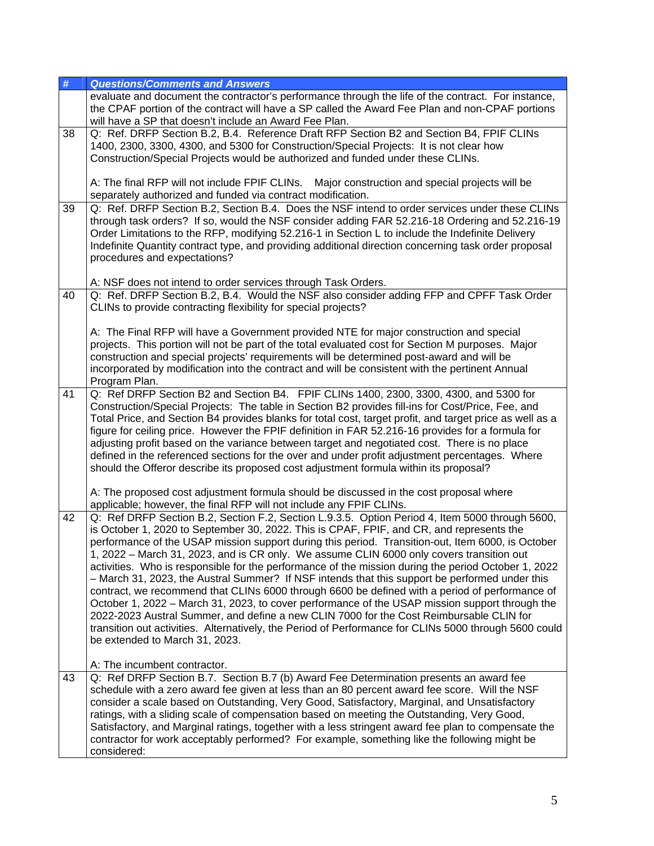| #  | <b>Questions/Comments and Answers</b>                                                                                                                                                                                                                           |
|----|-----------------------------------------------------------------------------------------------------------------------------------------------------------------------------------------------------------------------------------------------------------------|
|    | evaluate and document the contractor's performance through the life of the contract. For instance,<br>the CPAF portion of the contract will have a SP called the Award Fee Plan and non-CPAF portions<br>will have a SP that doesn't include an Award Fee Plan. |
| 38 | Q: Ref. DRFP Section B.2, B.4. Reference Draft RFP Section B2 and Section B4, FPIF CLINs                                                                                                                                                                        |
|    | 1400, 2300, 3300, 4300, and 5300 for Construction/Special Projects: It is not clear how                                                                                                                                                                         |
|    | Construction/Special Projects would be authorized and funded under these CLINs.                                                                                                                                                                                 |
|    |                                                                                                                                                                                                                                                                 |
|    | A: The final RFP will not include FPIF CLINs.<br>Major construction and special projects will be                                                                                                                                                                |
|    | separately authorized and funded via contract modification.                                                                                                                                                                                                     |
| 39 | Q: Ref. DRFP Section B.2, Section B.4. Does the NSF intend to order services under these CLINs                                                                                                                                                                  |
|    | through task orders? If so, would the NSF consider adding FAR 52.216-18 Ordering and 52.216-19                                                                                                                                                                  |
|    |                                                                                                                                                                                                                                                                 |
|    | Order Limitations to the RFP, modifying 52.216-1 in Section L to include the Indefinite Delivery                                                                                                                                                                |
|    | Indefinite Quantity contract type, and providing additional direction concerning task order proposal                                                                                                                                                            |
|    | procedures and expectations?                                                                                                                                                                                                                                    |
|    |                                                                                                                                                                                                                                                                 |
|    | A: NSF does not intend to order services through Task Orders.                                                                                                                                                                                                   |
| 40 | Q: Ref. DRFP Section B.2, B.4. Would the NSF also consider adding FFP and CPFF Task Order                                                                                                                                                                       |
|    | CLINs to provide contracting flexibility for special projects?                                                                                                                                                                                                  |
|    |                                                                                                                                                                                                                                                                 |
|    | A: The Final RFP will have a Government provided NTE for major construction and special                                                                                                                                                                         |
|    | projects. This portion will not be part of the total evaluated cost for Section M purposes. Major                                                                                                                                                               |
|    | construction and special projects' requirements will be determined post-award and will be                                                                                                                                                                       |
|    | incorporated by modification into the contract and will be consistent with the pertinent Annual                                                                                                                                                                 |
|    | Program Plan.                                                                                                                                                                                                                                                   |
| 41 | Q: Ref DRFP Section B2 and Section B4. FPIF CLINs 1400, 2300, 3300, 4300, and 5300 for                                                                                                                                                                          |
|    | Construction/Special Projects: The table in Section B2 provides fill-ins for Cost/Price, Fee, and                                                                                                                                                               |
|    | Total Price, and Section B4 provides blanks for total cost, target profit, and target price as well as a                                                                                                                                                        |
|    | figure for ceiling price. However the FPIF definition in FAR 52.216-16 provides for a formula for                                                                                                                                                               |
|    | adjusting profit based on the variance between target and negotiated cost. There is no place                                                                                                                                                                    |
|    | defined in the referenced sections for the over and under profit adjustment percentages. Where                                                                                                                                                                  |
|    | should the Offeror describe its proposed cost adjustment formula within its proposal?                                                                                                                                                                           |
|    |                                                                                                                                                                                                                                                                 |
|    | A: The proposed cost adjustment formula should be discussed in the cost proposal where                                                                                                                                                                          |
|    | applicable; however, the final RFP will not include any FPIF CLINs.                                                                                                                                                                                             |
| 42 | Q: Ref DRFP Section B.2, Section F.2, Section L.9.3.5. Option Period 4, Item 5000 through 5600,                                                                                                                                                                 |
|    | is October 1, 2020 to September 30, 2022. This is CPAF, FPIF, and CR, and represents the                                                                                                                                                                        |
|    | performance of the USAP mission support during this period. Transition-out, Item 6000, is October                                                                                                                                                               |
|    | 1, 2022 - March 31, 2023, and is CR only. We assume CLIN 6000 only covers transition out                                                                                                                                                                        |
|    | activities. Who is responsible for the performance of the mission during the period October 1, 2022                                                                                                                                                             |
|    | - March 31, 2023, the Austral Summer? If NSF intends that this support be performed under this                                                                                                                                                                  |
|    | contract, we recommend that CLINs 6000 through 6600 be defined with a period of performance of                                                                                                                                                                  |
|    | October 1, 2022 – March 31, 2023, to cover performance of the USAP mission support through the                                                                                                                                                                  |
|    | 2022-2023 Austral Summer, and define a new CLIN 7000 for the Cost Reimbursable CLIN for                                                                                                                                                                         |
|    | transition out activities. Alternatively, the Period of Performance for CLINs 5000 through 5600 could                                                                                                                                                           |
|    | be extended to March 31, 2023.                                                                                                                                                                                                                                  |
|    |                                                                                                                                                                                                                                                                 |
|    | A: The incumbent contractor.                                                                                                                                                                                                                                    |
| 43 | Q: Ref DRFP Section B.7. Section B.7 (b) Award Fee Determination presents an award fee                                                                                                                                                                          |
|    | schedule with a zero award fee given at less than an 80 percent award fee score. Will the NSF                                                                                                                                                                   |
|    | consider a scale based on Outstanding, Very Good, Satisfactory, Marginal, and Unsatisfactory                                                                                                                                                                    |
|    | ratings, with a sliding scale of compensation based on meeting the Outstanding, Very Good,                                                                                                                                                                      |
|    | Satisfactory, and Marginal ratings, together with a less stringent award fee plan to compensate the                                                                                                                                                             |
|    | contractor for work acceptably performed? For example, something like the following might be                                                                                                                                                                    |
|    | considered:                                                                                                                                                                                                                                                     |
|    |                                                                                                                                                                                                                                                                 |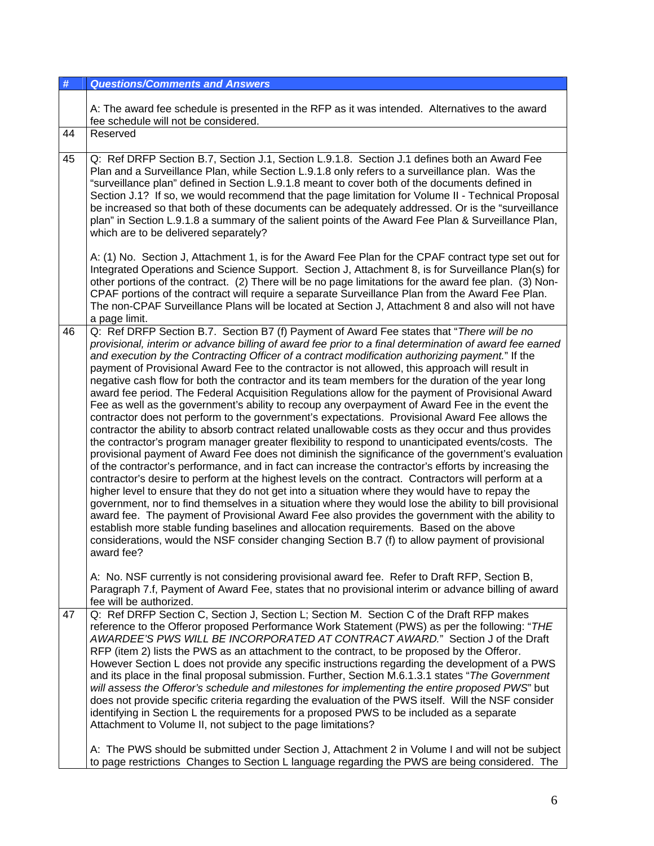| #  | <b>Questions/Comments and Answers</b>                                                                                                                                                                                                                                                                                                                                                                                                                                                                                                                                                                                                                                                                                                                                                                                                                                                                                                                                                                                                                                                                                                                                                                                                                                                                                                                                                                                                                                                                                                                                                                                                                                                                                                                                                                                                                                                                                                                                                                                                                                                                                         |
|----|-------------------------------------------------------------------------------------------------------------------------------------------------------------------------------------------------------------------------------------------------------------------------------------------------------------------------------------------------------------------------------------------------------------------------------------------------------------------------------------------------------------------------------------------------------------------------------------------------------------------------------------------------------------------------------------------------------------------------------------------------------------------------------------------------------------------------------------------------------------------------------------------------------------------------------------------------------------------------------------------------------------------------------------------------------------------------------------------------------------------------------------------------------------------------------------------------------------------------------------------------------------------------------------------------------------------------------------------------------------------------------------------------------------------------------------------------------------------------------------------------------------------------------------------------------------------------------------------------------------------------------------------------------------------------------------------------------------------------------------------------------------------------------------------------------------------------------------------------------------------------------------------------------------------------------------------------------------------------------------------------------------------------------------------------------------------------------------------------------------------------------|
|    | A: The award fee schedule is presented in the RFP as it was intended. Alternatives to the award<br>fee schedule will not be considered.                                                                                                                                                                                                                                                                                                                                                                                                                                                                                                                                                                                                                                                                                                                                                                                                                                                                                                                                                                                                                                                                                                                                                                                                                                                                                                                                                                                                                                                                                                                                                                                                                                                                                                                                                                                                                                                                                                                                                                                       |
| 44 | Reserved                                                                                                                                                                                                                                                                                                                                                                                                                                                                                                                                                                                                                                                                                                                                                                                                                                                                                                                                                                                                                                                                                                                                                                                                                                                                                                                                                                                                                                                                                                                                                                                                                                                                                                                                                                                                                                                                                                                                                                                                                                                                                                                      |
| 45 | Q: Ref DRFP Section B.7, Section J.1, Section L.9.1.8. Section J.1 defines both an Award Fee<br>Plan and a Surveillance Plan, while Section L.9.1.8 only refers to a surveillance plan. Was the<br>"surveillance plan" defined in Section L.9.1.8 meant to cover both of the documents defined in<br>Section J.1? If so, we would recommend that the page limitation for Volume II - Technical Proposal<br>be increased so that both of these documents can be adequately addressed. Or is the "surveillance<br>plan" in Section L.9.1.8 a summary of the salient points of the Award Fee Plan & Surveillance Plan,<br>which are to be delivered separately?<br>A: (1) No. Section J, Attachment 1, is for the Award Fee Plan for the CPAF contract type set out for<br>Integrated Operations and Science Support. Section J, Attachment 8, is for Surveillance Plan(s) for<br>other portions of the contract. (2) There will be no page limitations for the award fee plan. (3) Non-<br>CPAF portions of the contract will require a separate Surveillance Plan from the Award Fee Plan.<br>The non-CPAF Surveillance Plans will be located at Section J, Attachment 8 and also will not have<br>a page limit.                                                                                                                                                                                                                                                                                                                                                                                                                                                                                                                                                                                                                                                                                                                                                                                                                                                                                                               |
| 46 | Q: Ref DRFP Section B.7. Section B7 (f) Payment of Award Fee states that "There will be no<br>provisional, interim or advance billing of award fee prior to a final determination of award fee earned<br>and execution by the Contracting Officer of a contract modification authorizing payment." If the<br>payment of Provisional Award Fee to the contractor is not allowed, this approach will result in<br>negative cash flow for both the contractor and its team members for the duration of the year long<br>award fee period. The Federal Acquisition Regulations allow for the payment of Provisional Award<br>Fee as well as the government's ability to recoup any overpayment of Award Fee in the event the<br>contractor does not perform to the government's expectations. Provisional Award Fee allows the<br>contractor the ability to absorb contract related unallowable costs as they occur and thus provides<br>the contractor's program manager greater flexibility to respond to unanticipated events/costs. The<br>provisional payment of Award Fee does not diminish the significance of the government's evaluation<br>of the contractor's performance, and in fact can increase the contractor's efforts by increasing the<br>contractor's desire to perform at the highest levels on the contract. Contractors will perform at a<br>higher level to ensure that they do not get into a situation where they would have to repay the<br>government, nor to find themselves in a situation where they would lose the ability to bill provisional<br>award fee. The payment of Provisional Award Fee also provides the government with the ability to<br>establish more stable funding baselines and allocation requirements. Based on the above<br>considerations, would the NSF consider changing Section B.7 (f) to allow payment of provisional<br>award fee?<br>A: No. NSF currently is not considering provisional award fee. Refer to Draft RFP, Section B,<br>Paragraph 7.f, Payment of Award Fee, states that no provisional interim or advance billing of award<br>fee will be authorized. |
| 47 | Q: Ref DRFP Section C, Section J, Section L; Section M. Section C of the Draft RFP makes<br>reference to the Offeror proposed Performance Work Statement (PWS) as per the following: "THE<br>AWARDEE'S PWS WILL BE INCORPORATED AT CONTRACT AWARD." Section J of the Draft<br>RFP (item 2) lists the PWS as an attachment to the contract, to be proposed by the Offeror.<br>However Section L does not provide any specific instructions regarding the development of a PWS<br>and its place in the final proposal submission. Further, Section M.6.1.3.1 states "The Government<br>will assess the Offeror's schedule and milestones for implementing the entire proposed PWS" but<br>does not provide specific criteria regarding the evaluation of the PWS itself. Will the NSF consider<br>identifying in Section L the requirements for a proposed PWS to be included as a separate<br>Attachment to Volume II, not subject to the page limitations?                                                                                                                                                                                                                                                                                                                                                                                                                                                                                                                                                                                                                                                                                                                                                                                                                                                                                                                                                                                                                                                                                                                                                                    |
|    | A: The PWS should be submitted under Section J, Attachment 2 in Volume I and will not be subject<br>to page restrictions Changes to Section L language regarding the PWS are being considered. The                                                                                                                                                                                                                                                                                                                                                                                                                                                                                                                                                                                                                                                                                                                                                                                                                                                                                                                                                                                                                                                                                                                                                                                                                                                                                                                                                                                                                                                                                                                                                                                                                                                                                                                                                                                                                                                                                                                            |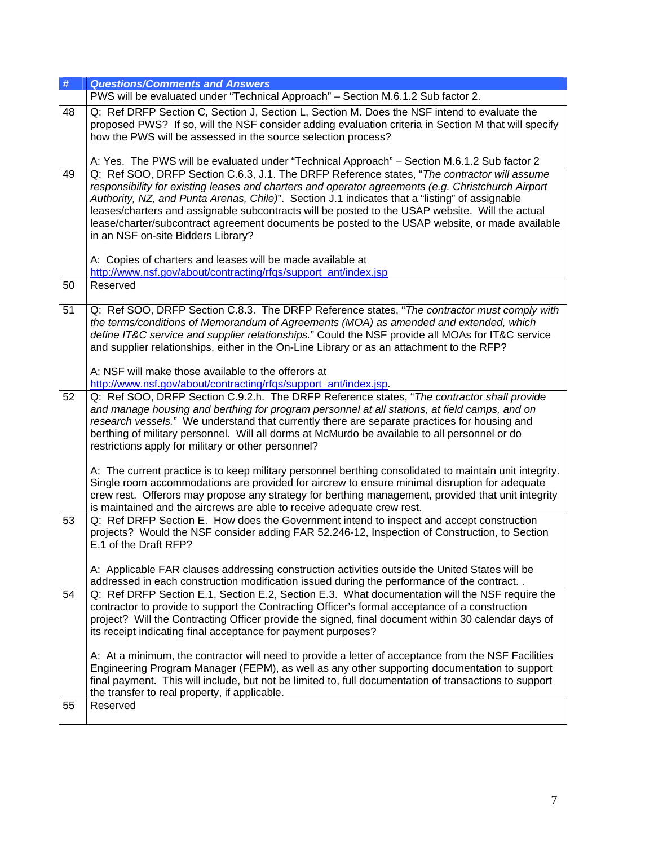| #  | <b>Questions/Comments and Answers</b>                                                                                                                                                                |
|----|------------------------------------------------------------------------------------------------------------------------------------------------------------------------------------------------------|
|    | PWS will be evaluated under "Technical Approach" - Section M.6.1.2 Sub factor 2.                                                                                                                     |
| 48 | Q: Ref DRFP Section C, Section J, Section L, Section M. Does the NSF intend to evaluate the                                                                                                          |
|    | proposed PWS? If so, will the NSF consider adding evaluation criteria in Section M that will specify                                                                                                 |
|    | how the PWS will be assessed in the source selection process?                                                                                                                                        |
|    |                                                                                                                                                                                                      |
|    | A: Yes. The PWS will be evaluated under "Technical Approach" - Section M.6.1.2 Sub factor 2                                                                                                          |
| 49 | Q: Ref SOO, DRFP Section C.6.3, J.1. The DRFP Reference states, "The contractor will assume                                                                                                          |
|    | responsibility for existing leases and charters and operator agreements (e.g. Christchurch Airport<br>Authority, NZ, and Punta Arenas, Chile)". Section J.1 indicates that a "listing" of assignable |
|    | leases/charters and assignable subcontracts will be posted to the USAP website. Will the actual                                                                                                      |
|    | lease/charter/subcontract agreement documents be posted to the USAP website, or made available                                                                                                       |
|    | in an NSF on-site Bidders Library?                                                                                                                                                                   |
|    |                                                                                                                                                                                                      |
|    | A: Copies of charters and leases will be made available at                                                                                                                                           |
|    | http://www.nsf.gov/about/contracting/rfqs/support_ant/index.jsp                                                                                                                                      |
| 50 | Reserved                                                                                                                                                                                             |
|    |                                                                                                                                                                                                      |
| 51 | Q: Ref SOO, DRFP Section C.8.3. The DRFP Reference states, "The contractor must comply with                                                                                                          |
|    | the terms/conditions of Memorandum of Agreements (MOA) as amended and extended, which<br>define IT&C service and supplier relationships." Could the NSF provide all MOAs for IT&C service            |
|    | and supplier relationships, either in the On-Line Library or as an attachment to the RFP?                                                                                                            |
|    |                                                                                                                                                                                                      |
|    | A: NSF will make those available to the offerors at                                                                                                                                                  |
|    | http://www.nsf.gov/about/contracting/rfqs/support_ant/index.jsp.                                                                                                                                     |
| 52 | Q: Ref SOO, DRFP Section C.9.2.h. The DRFP Reference states, "The contractor shall provide                                                                                                           |
|    | and manage housing and berthing for program personnel at all stations, at field camps, and on                                                                                                        |
|    | research vessels." We understand that currently there are separate practices for housing and                                                                                                         |
|    | berthing of military personnel. Will all dorms at McMurdo be available to all personnel or do<br>restrictions apply for military or other personnel?                                                 |
|    |                                                                                                                                                                                                      |
|    | A: The current practice is to keep military personnel berthing consolidated to maintain unit integrity.                                                                                              |
|    | Single room accommodations are provided for aircrew to ensure minimal disruption for adequate                                                                                                        |
|    | crew rest. Offerors may propose any strategy for berthing management, provided that unit integrity                                                                                                   |
|    | is maintained and the aircrews are able to receive adequate crew rest.                                                                                                                               |
| 53 | Q: Ref DRFP Section E. How does the Government intend to inspect and accept construction                                                                                                             |
|    | projects? Would the NSF consider adding FAR 52.246-12, Inspection of Construction, to Section<br>E.1 of the Draft RFP?                                                                               |
|    |                                                                                                                                                                                                      |
|    | A: Applicable FAR clauses addressing construction activities outside the United States will be                                                                                                       |
|    | addressed in each construction modification issued during the performance of the contract                                                                                                            |
| 54 | Q: Ref DRFP Section E.1, Section E.2, Section E.3. What documentation will the NSF require the                                                                                                       |
|    | contractor to provide to support the Contracting Officer's formal acceptance of a construction                                                                                                       |
|    | project? Will the Contracting Officer provide the signed, final document within 30 calendar days of                                                                                                  |
|    | its receipt indicating final acceptance for payment purposes?                                                                                                                                        |
|    |                                                                                                                                                                                                      |
|    | A: At a minimum, the contractor will need to provide a letter of acceptance from the NSF Facilities<br>Engineering Program Manager (FEPM), as well as any other supporting documentation to support  |
|    | final payment. This will include, but not be limited to, full documentation of transactions to support                                                                                               |
|    | the transfer to real property, if applicable.                                                                                                                                                        |
| 55 | Reserved                                                                                                                                                                                             |
|    |                                                                                                                                                                                                      |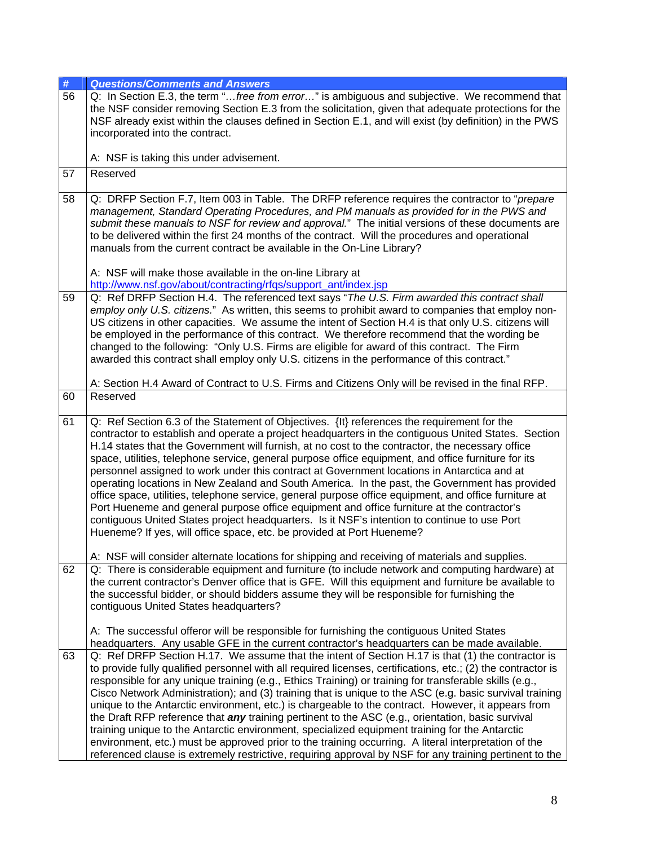| #  | <b>Questions/Comments and Answers</b>                                                                                                                                                                                                                                                                                                                                                                                                                                                                                                                                                                                                                                                                                                                                                                                                                                                                                                                                                         |
|----|-----------------------------------------------------------------------------------------------------------------------------------------------------------------------------------------------------------------------------------------------------------------------------------------------------------------------------------------------------------------------------------------------------------------------------------------------------------------------------------------------------------------------------------------------------------------------------------------------------------------------------------------------------------------------------------------------------------------------------------------------------------------------------------------------------------------------------------------------------------------------------------------------------------------------------------------------------------------------------------------------|
| 56 | Q: In Section E.3, the term "free from error" is ambiguous and subjective. We recommend that<br>the NSF consider removing Section E.3 from the solicitation, given that adequate protections for the<br>NSF already exist within the clauses defined in Section E.1, and will exist (by definition) in the PWS<br>incorporated into the contract.                                                                                                                                                                                                                                                                                                                                                                                                                                                                                                                                                                                                                                             |
|    | A: NSF is taking this under advisement.                                                                                                                                                                                                                                                                                                                                                                                                                                                                                                                                                                                                                                                                                                                                                                                                                                                                                                                                                       |
| 57 | Reserved                                                                                                                                                                                                                                                                                                                                                                                                                                                                                                                                                                                                                                                                                                                                                                                                                                                                                                                                                                                      |
| 58 | Q: DRFP Section F.7, Item 003 in Table. The DRFP reference requires the contractor to "prepare<br>management, Standard Operating Procedures, and PM manuals as provided for in the PWS and<br>submit these manuals to NSF for review and approval." The initial versions of these documents are<br>to be delivered within the first 24 months of the contract. Will the procedures and operational<br>manuals from the current contract be available in the On-Line Library?<br>A: NSF will make those available in the on-line Library at                                                                                                                                                                                                                                                                                                                                                                                                                                                    |
|    | http://www.nsf.gov/about/contracting/rfgs/support_ant/index.jsp                                                                                                                                                                                                                                                                                                                                                                                                                                                                                                                                                                                                                                                                                                                                                                                                                                                                                                                               |
| 59 | Q: Ref DRFP Section H.4. The referenced text says "The U.S. Firm awarded this contract shall<br>employ only U.S. citizens." As written, this seems to prohibit award to companies that employ non-<br>US citizens in other capacities. We assume the intent of Section H.4 is that only U.S. citizens will<br>be employed in the performance of this contract. We therefore recommend that the wording be<br>changed to the following: "Only U.S. Firms are eligible for award of this contract. The Firm<br>awarded this contract shall employ only U.S. citizens in the performance of this contract."                                                                                                                                                                                                                                                                                                                                                                                      |
|    | A: Section H.4 Award of Contract to U.S. Firms and Citizens Only will be revised in the final RFP.                                                                                                                                                                                                                                                                                                                                                                                                                                                                                                                                                                                                                                                                                                                                                                                                                                                                                            |
| 60 | Reserved                                                                                                                                                                                                                                                                                                                                                                                                                                                                                                                                                                                                                                                                                                                                                                                                                                                                                                                                                                                      |
| 61 | Q: Ref Section 6.3 of the Statement of Objectives. {It} references the requirement for the<br>contractor to establish and operate a project headquarters in the contiguous United States. Section<br>H.14 states that the Government will furnish, at no cost to the contractor, the necessary office<br>space, utilities, telephone service, general purpose office equipment, and office furniture for its<br>personnel assigned to work under this contract at Government locations in Antarctica and at<br>operating locations in New Zealand and South America. In the past, the Government has provided<br>office space, utilities, telephone service, general purpose office equipment, and office furniture at<br>Port Hueneme and general purpose office equipment and office furniture at the contractor's<br>contiguous United States project headquarters. Is it NSF's intention to continue to use Port<br>Hueneme? If yes, will office space, etc. be provided at Port Hueneme? |
| 62 | A: NSF will consider alternate locations for shipping and receiving of materials and supplies.<br>Q: There is considerable equipment and furniture (to include network and computing hardware) at<br>the current contractor's Denver office that is GFE. Will this equipment and furniture be available to<br>the successful bidder, or should bidders assume they will be responsible for furnishing the<br>contiguous United States headquarters?                                                                                                                                                                                                                                                                                                                                                                                                                                                                                                                                           |
| 63 | A: The successful offeror will be responsible for furnishing the contiguous United States<br>headquarters. Any usable GFE in the current contractor's headquarters can be made available.<br>Q: Ref DRFP Section H.17. We assume that the intent of Section H.17 is that (1) the contractor is<br>to provide fully qualified personnel with all required licenses, certifications, etc.; (2) the contractor is                                                                                                                                                                                                                                                                                                                                                                                                                                                                                                                                                                                |
|    | responsible for any unique training (e.g., Ethics Training) or training for transferable skills (e.g.,<br>Cisco Network Administration); and (3) training that is unique to the ASC (e.g. basic survival training<br>unique to the Antarctic environment, etc.) is chargeable to the contract. However, it appears from<br>the Draft RFP reference that <i>any</i> training pertinent to the ASC (e.g., orientation, basic survival<br>training unique to the Antarctic environment, specialized equipment training for the Antarctic<br>environment, etc.) must be approved prior to the training occurring. A literal interpretation of the<br>referenced clause is extremely restrictive, requiring approval by NSF for any training pertinent to the                                                                                                                                                                                                                                      |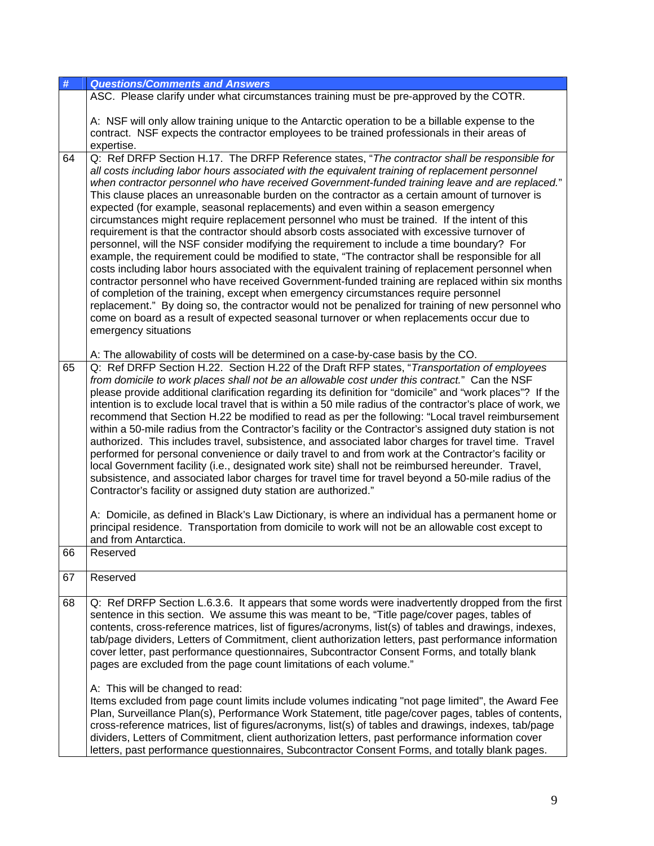| <b>Questions/Comments and Answers</b>                                                                                                                                                                                                                                                                                                                                                                                                                                                                                                                                                                                                                                                                                                                                                                                                                                                                                                                                                                                                                                                                                                                                                                                                                                                                                                                                                                                                                         |
|---------------------------------------------------------------------------------------------------------------------------------------------------------------------------------------------------------------------------------------------------------------------------------------------------------------------------------------------------------------------------------------------------------------------------------------------------------------------------------------------------------------------------------------------------------------------------------------------------------------------------------------------------------------------------------------------------------------------------------------------------------------------------------------------------------------------------------------------------------------------------------------------------------------------------------------------------------------------------------------------------------------------------------------------------------------------------------------------------------------------------------------------------------------------------------------------------------------------------------------------------------------------------------------------------------------------------------------------------------------------------------------------------------------------------------------------------------------|
| ASC. Please clarify under what circumstances training must be pre-approved by the COTR.                                                                                                                                                                                                                                                                                                                                                                                                                                                                                                                                                                                                                                                                                                                                                                                                                                                                                                                                                                                                                                                                                                                                                                                                                                                                                                                                                                       |
| A: NSF will only allow training unique to the Antarctic operation to be a billable expense to the<br>contract. NSF expects the contractor employees to be trained professionals in their areas of<br>expertise.                                                                                                                                                                                                                                                                                                                                                                                                                                                                                                                                                                                                                                                                                                                                                                                                                                                                                                                                                                                                                                                                                                                                                                                                                                               |
| Q: Ref DRFP Section H.17. The DRFP Reference states, "The contractor shall be responsible for<br>all costs including labor hours associated with the equivalent training of replacement personnel<br>when contractor personnel who have received Government-funded training leave and are replaced."<br>This clause places an unreasonable burden on the contractor as a certain amount of turnover is<br>expected (for example, seasonal replacements) and even within a season emergency<br>circumstances might require replacement personnel who must be trained. If the intent of this<br>requirement is that the contractor should absorb costs associated with excessive turnover of<br>personnel, will the NSF consider modifying the requirement to include a time boundary? For<br>example, the requirement could be modified to state, "The contractor shall be responsible for all<br>costs including labor hours associated with the equivalent training of replacement personnel when<br>contractor personnel who have received Government-funded training are replaced within six months<br>of completion of the training, except when emergency circumstances require personnel<br>replacement." By doing so, the contractor would not be penalized for training of new personnel who<br>come on board as a result of expected seasonal turnover or when replacements occur due to<br>emergency situations                                     |
| A: The allowability of costs will be determined on a case-by-case basis by the CO.<br>Q: Ref DRFP Section H.22. Section H.22 of the Draft RFP states, "Transportation of employees<br>from domicile to work places shall not be an allowable cost under this contract." Can the NSF<br>please provide additional clarification regarding its definition for "domicile" and "work places"? If the<br>intention is to exclude local travel that is within a 50 mile radius of the contractor's place of work, we<br>recommend that Section H.22 be modified to read as per the following: "Local travel reimbursement<br>within a 50-mile radius from the Contractor's facility or the Contractor's assigned duty station is not<br>authorized. This includes travel, subsistence, and associated labor charges for travel time. Travel<br>performed for personal convenience or daily travel to and from work at the Contractor's facility or<br>local Government facility (i.e., designated work site) shall not be reimbursed hereunder. Travel,<br>subsistence, and associated labor charges for travel time for travel beyond a 50-mile radius of the<br>Contractor's facility or assigned duty station are authorized."<br>A: Domicile, as defined in Black's Law Dictionary, is where an individual has a permanent home or<br>principal residence. Transportation from domicile to work will not be an allowable cost except to<br>and from Antarctica. |
| Reserved                                                                                                                                                                                                                                                                                                                                                                                                                                                                                                                                                                                                                                                                                                                                                                                                                                                                                                                                                                                                                                                                                                                                                                                                                                                                                                                                                                                                                                                      |
| Reserved                                                                                                                                                                                                                                                                                                                                                                                                                                                                                                                                                                                                                                                                                                                                                                                                                                                                                                                                                                                                                                                                                                                                                                                                                                                                                                                                                                                                                                                      |
| Q: Ref DRFP Section L.6.3.6. It appears that some words were inadvertently dropped from the first<br>sentence in this section. We assume this was meant to be, "Title page/cover pages, tables of<br>contents, cross-reference matrices, list of figures/acronyms, list(s) of tables and drawings, indexes,<br>tab/page dividers, Letters of Commitment, client authorization letters, past performance information<br>cover letter, past performance questionnaires, Subcontractor Consent Forms, and totally blank<br>pages are excluded from the page count limitations of each volume."<br>A: This will be changed to read:<br>Items excluded from page count limits include volumes indicating "not page limited", the Award Fee<br>Plan, Surveillance Plan(s), Performance Work Statement, title page/cover pages, tables of contents,<br>cross-reference matrices, list of figures/acronyms, list(s) of tables and drawings, indexes, tab/page<br>dividers, Letters of Commitment, client authorization letters, past performance information cover                                                                                                                                                                                                                                                                                                                                                                                                    |
|                                                                                                                                                                                                                                                                                                                                                                                                                                                                                                                                                                                                                                                                                                                                                                                                                                                                                                                                                                                                                                                                                                                                                                                                                                                                                                                                                                                                                                                               |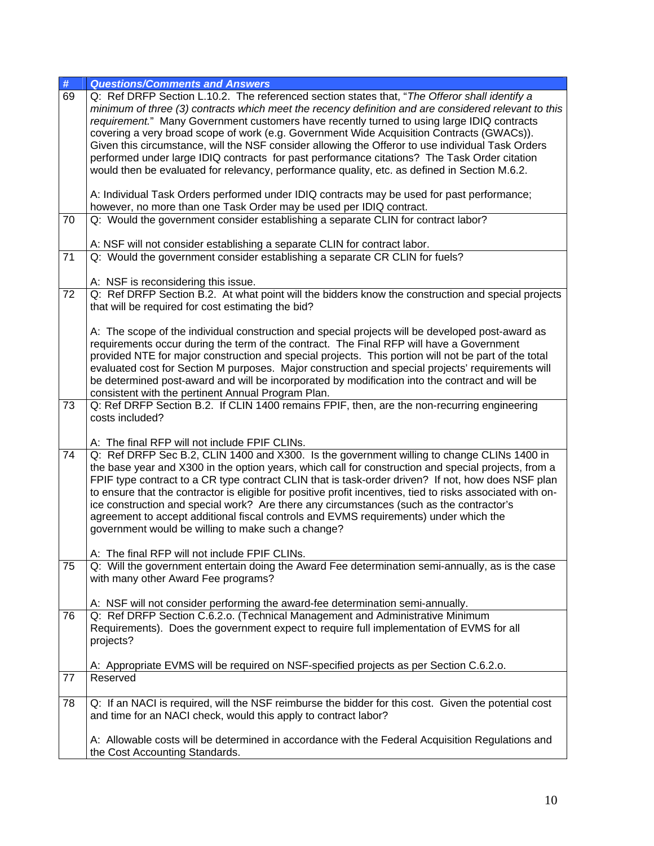| #               | <b>Questions/Comments and Answers</b>                                                                                                                                                                                                                                                                                                                                                                                                                                                                                                                                                                                                                                                                  |
|-----------------|--------------------------------------------------------------------------------------------------------------------------------------------------------------------------------------------------------------------------------------------------------------------------------------------------------------------------------------------------------------------------------------------------------------------------------------------------------------------------------------------------------------------------------------------------------------------------------------------------------------------------------------------------------------------------------------------------------|
| 69              | Q: Ref DRFP Section L.10.2. The referenced section states that, "The Offeror shall identify a<br>minimum of three (3) contracts which meet the recency definition and are considered relevant to this<br>requirement." Many Government customers have recently turned to using large IDIQ contracts<br>covering a very broad scope of work (e.g. Government Wide Acquisition Contracts (GWACs)).<br>Given this circumstance, will the NSF consider allowing the Offeror to use individual Task Orders<br>performed under large IDIQ contracts for past performance citations? The Task Order citation<br>would then be evaluated for relevancy, performance quality, etc. as defined in Section M.6.2. |
|                 | A: Individual Task Orders performed under IDIQ contracts may be used for past performance;<br>however, no more than one Task Order may be used per IDIQ contract.                                                                                                                                                                                                                                                                                                                                                                                                                                                                                                                                      |
| 70              | Q: Would the government consider establishing a separate CLIN for contract labor?                                                                                                                                                                                                                                                                                                                                                                                                                                                                                                                                                                                                                      |
|                 | A: NSF will not consider establishing a separate CLIN for contract labor.                                                                                                                                                                                                                                                                                                                                                                                                                                                                                                                                                                                                                              |
| 71              | Q: Would the government consider establishing a separate CR CLIN for fuels?                                                                                                                                                                                                                                                                                                                                                                                                                                                                                                                                                                                                                            |
| $\overline{72}$ | A: NSF is reconsidering this issue.<br>Q: Ref DRFP Section B.2. At what point will the bidders know the construction and special projects                                                                                                                                                                                                                                                                                                                                                                                                                                                                                                                                                              |
|                 | that will be required for cost estimating the bid?                                                                                                                                                                                                                                                                                                                                                                                                                                                                                                                                                                                                                                                     |
|                 | A: The scope of the individual construction and special projects will be developed post-award as<br>requirements occur during the term of the contract. The Final RFP will have a Government<br>provided NTE for major construction and special projects. This portion will not be part of the total<br>evaluated cost for Section M purposes. Major construction and special projects' requirements will<br>be determined post-award and will be incorporated by modification into the contract and will be<br>consistent with the pertinent Annual Program Plan.                                                                                                                                     |
| 73              | Q: Ref DRFP Section B.2. If CLIN 1400 remains FPIF, then, are the non-recurring engineering<br>costs included?<br>A: The final RFP will not include FPIF CLINs.                                                                                                                                                                                                                                                                                                                                                                                                                                                                                                                                        |
| 74              | Q: Ref DRFP Sec B.2, CLIN 1400 and X300. Is the government willing to change CLINs 1400 in<br>the base year and X300 in the option years, which call for construction and special projects, from a<br>FPIF type contract to a CR type contract CLIN that is task-order driven? If not, how does NSF plan<br>to ensure that the contractor is eligible for positive profit incentives, tied to risks associated with on-<br>ice construction and special work? Are there any circumstances (such as the contractor's<br>agreement to accept additional fiscal controls and EVMS requirements) under which the<br>government would be willing to make such a change?                                     |
|                 | A: The final RFP will not include FPIF CLINs.                                                                                                                                                                                                                                                                                                                                                                                                                                                                                                                                                                                                                                                          |
| 75              | Q: Will the government entertain doing the Award Fee determination semi-annually, as is the case<br>with many other Award Fee programs?                                                                                                                                                                                                                                                                                                                                                                                                                                                                                                                                                                |
|                 | A: NSF will not consider performing the award-fee determination semi-annually.                                                                                                                                                                                                                                                                                                                                                                                                                                                                                                                                                                                                                         |
| 76              | Q: Ref DRFP Section C.6.2.o. (Technical Management and Administrative Minimum<br>Requirements). Does the government expect to require full implementation of EVMS for all<br>projects?                                                                                                                                                                                                                                                                                                                                                                                                                                                                                                                 |
|                 | A: Appropriate EVMS will be required on NSF-specified projects as per Section C.6.2.o.                                                                                                                                                                                                                                                                                                                                                                                                                                                                                                                                                                                                                 |
| 77              | Reserved                                                                                                                                                                                                                                                                                                                                                                                                                                                                                                                                                                                                                                                                                               |
| 78              | Q: If an NACI is required, will the NSF reimburse the bidder for this cost. Given the potential cost<br>and time for an NACI check, would this apply to contract labor?                                                                                                                                                                                                                                                                                                                                                                                                                                                                                                                                |
|                 | A: Allowable costs will be determined in accordance with the Federal Acquisition Regulations and<br>the Cost Accounting Standards.                                                                                                                                                                                                                                                                                                                                                                                                                                                                                                                                                                     |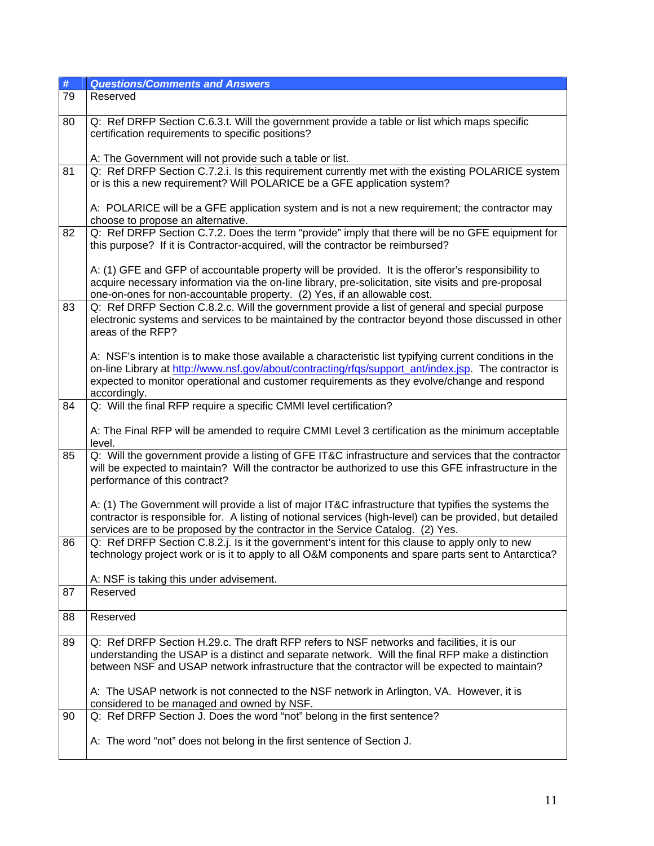| #  | <b>Questions/Comments and Answers</b>                                                                                                                                                                                                                                                                                           |
|----|---------------------------------------------------------------------------------------------------------------------------------------------------------------------------------------------------------------------------------------------------------------------------------------------------------------------------------|
| 79 | Reserved                                                                                                                                                                                                                                                                                                                        |
| 80 | Q: Ref DRFP Section C.6.3.t. Will the government provide a table or list which maps specific<br>certification requirements to specific positions?                                                                                                                                                                               |
|    | A: The Government will not provide such a table or list.                                                                                                                                                                                                                                                                        |
| 81 | Q: Ref DRFP Section C.7.2.i. Is this requirement currently met with the existing POLARICE system<br>or is this a new requirement? Will POLARICE be a GFE application system?                                                                                                                                                    |
|    | A: POLARICE will be a GFE application system and is not a new requirement; the contractor may<br>choose to propose an alternative.                                                                                                                                                                                              |
| 82 | Q: Ref DRFP Section C.7.2. Does the term "provide" imply that there will be no GFE equipment for<br>this purpose? If it is Contractor-acquired, will the contractor be reimbursed?                                                                                                                                              |
|    | A: (1) GFE and GFP of accountable property will be provided. It is the offeror's responsibility to<br>acquire necessary information via the on-line library, pre-solicitation, site visits and pre-proposal<br>one-on-ones for non-accountable property. (2) Yes, if an allowable cost.                                         |
| 83 | Q: Ref DRFP Section C.8.2.c. Will the government provide a list of general and special purpose<br>electronic systems and services to be maintained by the contractor beyond those discussed in other<br>areas of the RFP?                                                                                                       |
|    | A: NSF's intention is to make those available a characteristic list typifying current conditions in the<br>on-line Library at http://www.nsf.gov/about/contracting/rfqs/support_ant/index.jsp. The contractor is<br>expected to monitor operational and customer requirements as they evolve/change and respond<br>accordingly. |
| 84 | Q: Will the final RFP require a specific CMMI level certification?                                                                                                                                                                                                                                                              |
|    | A: The Final RFP will be amended to require CMMI Level 3 certification as the minimum acceptable<br>level.                                                                                                                                                                                                                      |
| 85 | Q: Will the government provide a listing of GFE IT&C infrastructure and services that the contractor<br>will be expected to maintain? Will the contractor be authorized to use this GFE infrastructure in the<br>performance of this contract?                                                                                  |
|    | A: (1) The Government will provide a list of major IT&C infrastructure that typifies the systems the<br>contractor is responsible for. A listing of notional services (high-level) can be provided, but detailed<br>services are to be proposed by the contractor in the Service Catalog. (2) Yes.                              |
| 86 | Q: Ref DRFP Section C.8.2.j. Is it the government's intent for this clause to apply only to new<br>technology project work or is it to apply to all O&M components and spare parts sent to Antarctica?                                                                                                                          |
|    | A: NSF is taking this under advisement.                                                                                                                                                                                                                                                                                         |
| 87 | Reserved                                                                                                                                                                                                                                                                                                                        |
| 88 | Reserved                                                                                                                                                                                                                                                                                                                        |
| 89 | Q: Ref DRFP Section H.29.c. The draft RFP refers to NSF networks and facilities, it is our<br>understanding the USAP is a distinct and separate network. Will the final RFP make a distinction<br>between NSF and USAP network infrastructure that the contractor will be expected to maintain?                                 |
|    | A: The USAP network is not connected to the NSF network in Arlington, VA. However, it is<br>considered to be managed and owned by NSF.                                                                                                                                                                                          |
| 90 | Q: Ref DRFP Section J. Does the word "not" belong in the first sentence?                                                                                                                                                                                                                                                        |
|    | A: The word "not" does not belong in the first sentence of Section J.                                                                                                                                                                                                                                                           |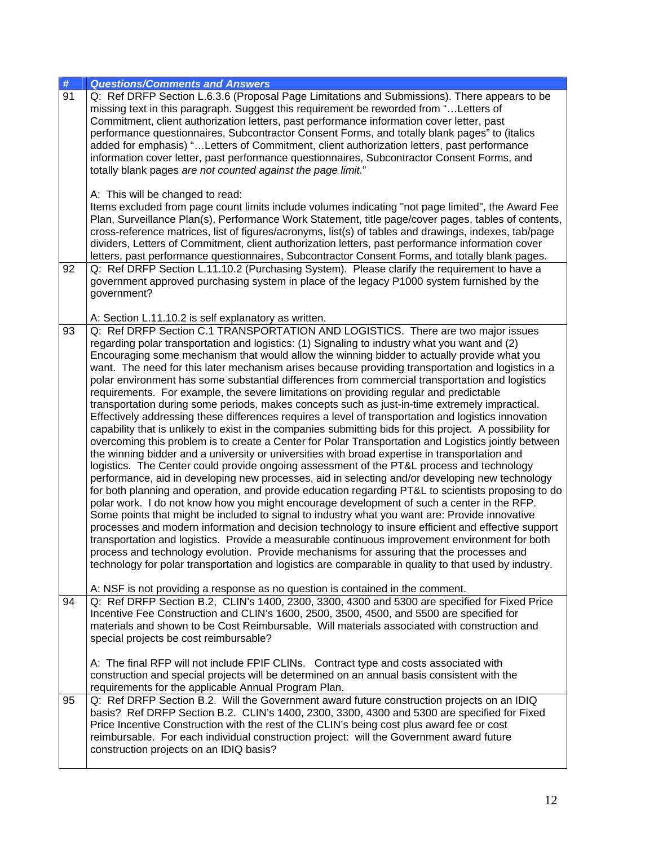| #  | <b>Questions/Comments and Answers</b>                                                                                                                                                                                                                                                                                                                                                                                                                                                                                                                                                                                                                                                                                                                                                                                                                                                                                                                                                                                                                                                                                                                                                                                                                                                                                                                                                                                                                                                                                                                                                                                                                                                                                                                                                                                                                                                                                                                                                                                                    |
|----|------------------------------------------------------------------------------------------------------------------------------------------------------------------------------------------------------------------------------------------------------------------------------------------------------------------------------------------------------------------------------------------------------------------------------------------------------------------------------------------------------------------------------------------------------------------------------------------------------------------------------------------------------------------------------------------------------------------------------------------------------------------------------------------------------------------------------------------------------------------------------------------------------------------------------------------------------------------------------------------------------------------------------------------------------------------------------------------------------------------------------------------------------------------------------------------------------------------------------------------------------------------------------------------------------------------------------------------------------------------------------------------------------------------------------------------------------------------------------------------------------------------------------------------------------------------------------------------------------------------------------------------------------------------------------------------------------------------------------------------------------------------------------------------------------------------------------------------------------------------------------------------------------------------------------------------------------------------------------------------------------------------------------------------|
| 91 | Q: Ref DRFP Section L.6.3.6 (Proposal Page Limitations and Submissions). There appears to be<br>missing text in this paragraph. Suggest this requirement be reworded from " Letters of<br>Commitment, client authorization letters, past performance information cover letter, past<br>performance questionnaires, Subcontractor Consent Forms, and totally blank pages" to (italics<br>added for emphasis) "Letters of Commitment, client authorization letters, past performance<br>information cover letter, past performance questionnaires, Subcontractor Consent Forms, and<br>totally blank pages are not counted against the page limit."                                                                                                                                                                                                                                                                                                                                                                                                                                                                                                                                                                                                                                                                                                                                                                                                                                                                                                                                                                                                                                                                                                                                                                                                                                                                                                                                                                                        |
| 92 | A: This will be changed to read:<br>Items excluded from page count limits include volumes indicating "not page limited", the Award Fee<br>Plan, Surveillance Plan(s), Performance Work Statement, title page/cover pages, tables of contents,<br>cross-reference matrices, list of figures/acronyms, list(s) of tables and drawings, indexes, tab/page<br>dividers, Letters of Commitment, client authorization letters, past performance information cover<br>letters, past performance questionnaires, Subcontractor Consent Forms, and totally blank pages.<br>Q: Ref DRFP Section L.11.10.2 (Purchasing System). Please clarify the requirement to have a                                                                                                                                                                                                                                                                                                                                                                                                                                                                                                                                                                                                                                                                                                                                                                                                                                                                                                                                                                                                                                                                                                                                                                                                                                                                                                                                                                            |
|    | government approved purchasing system in place of the legacy P1000 system furnished by the<br>government?<br>A: Section L.11.10.2 is self explanatory as written.                                                                                                                                                                                                                                                                                                                                                                                                                                                                                                                                                                                                                                                                                                                                                                                                                                                                                                                                                                                                                                                                                                                                                                                                                                                                                                                                                                                                                                                                                                                                                                                                                                                                                                                                                                                                                                                                        |
| 93 | Q: Ref DRFP Section C.1 TRANSPORTATION AND LOGISTICS. There are two major issues<br>regarding polar transportation and logistics: (1) Signaling to industry what you want and (2)<br>Encouraging some mechanism that would allow the winning bidder to actually provide what you<br>want. The need for this later mechanism arises because providing transportation and logistics in a<br>polar environment has some substantial differences from commercial transportation and logistics<br>requirements. For example, the severe limitations on providing regular and predictable<br>transportation during some periods, makes concepts such as just-in-time extremely impractical.<br>Effectively addressing these differences requires a level of transportation and logistics innovation<br>capability that is unlikely to exist in the companies submitting bids for this project. A possibility for<br>overcoming this problem is to create a Center for Polar Transportation and Logistics jointly between<br>the winning bidder and a university or universities with broad expertise in transportation and<br>logistics. The Center could provide ongoing assessment of the PT&L process and technology<br>performance, aid in developing new processes, aid in selecting and/or developing new technology<br>for both planning and operation, and provide education regarding PT&L to scientists proposing to do<br>polar work. I do not know how you might encourage development of such a center in the RFP.<br>Some points that might be included to signal to industry what you want are: Provide innovative<br>processes and modern information and decision technology to insure efficient and effective support<br>transportation and logistics. Provide a measurable continuous improvement environment for both<br>process and technology evolution. Provide mechanisms for assuring that the processes and<br>technology for polar transportation and logistics are comparable in quality to that used by industry. |
| 94 | A: NSF is not providing a response as no question is contained in the comment.<br>Q: Ref DRFP Section B.2, CLIN's 1400, 2300, 3300, 4300 and 5300 are specified for Fixed Price<br>Incentive Fee Construction and CLIN's 1600, 2500, 3500, 4500, and 5500 are specified for<br>materials and shown to be Cost Reimbursable. Will materials associated with construction and<br>special projects be cost reimbursable?<br>A: The final RFP will not include FPIF CLINs. Contract type and costs associated with<br>construction and special projects will be determined on an annual basis consistent with the<br>requirements for the applicable Annual Program Plan.                                                                                                                                                                                                                                                                                                                                                                                                                                                                                                                                                                                                                                                                                                                                                                                                                                                                                                                                                                                                                                                                                                                                                                                                                                                                                                                                                                    |
| 95 | Q: Ref DRFP Section B.2. Will the Government award future construction projects on an IDIQ<br>basis? Ref DRFP Section B.2. CLIN's 1400, 2300, 3300, 4300 and 5300 are specified for Fixed<br>Price Incentive Construction with the rest of the CLIN's being cost plus award fee or cost<br>reimbursable. For each individual construction project: will the Government award future<br>construction projects on an IDIQ basis?                                                                                                                                                                                                                                                                                                                                                                                                                                                                                                                                                                                                                                                                                                                                                                                                                                                                                                                                                                                                                                                                                                                                                                                                                                                                                                                                                                                                                                                                                                                                                                                                           |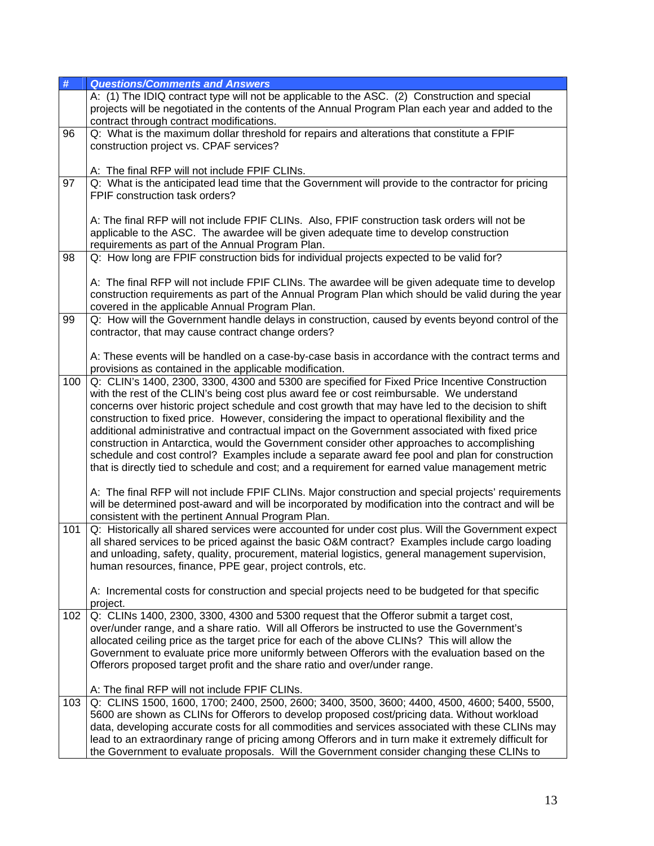| #   | <b>Questions/Comments and Answers</b>                                                                                                                                                                                                                                                                                                                                                                                                                                                                                                                                                                                                                                                                                                                                                                                                                                                                               |
|-----|---------------------------------------------------------------------------------------------------------------------------------------------------------------------------------------------------------------------------------------------------------------------------------------------------------------------------------------------------------------------------------------------------------------------------------------------------------------------------------------------------------------------------------------------------------------------------------------------------------------------------------------------------------------------------------------------------------------------------------------------------------------------------------------------------------------------------------------------------------------------------------------------------------------------|
|     | A: (1) The IDIQ contract type will not be applicable to the ASC. (2) Construction and special<br>projects will be negotiated in the contents of the Annual Program Plan each year and added to the<br>contract through contract modifications.                                                                                                                                                                                                                                                                                                                                                                                                                                                                                                                                                                                                                                                                      |
| 96  | Q: What is the maximum dollar threshold for repairs and alterations that constitute a FPIF<br>construction project vs. CPAF services?                                                                                                                                                                                                                                                                                                                                                                                                                                                                                                                                                                                                                                                                                                                                                                               |
| 97  | A: The final RFP will not include FPIF CLINs.<br>Q: What is the anticipated lead time that the Government will provide to the contractor for pricing<br>FPIF construction task orders?                                                                                                                                                                                                                                                                                                                                                                                                                                                                                                                                                                                                                                                                                                                              |
|     | A: The final RFP will not include FPIF CLINs. Also, FPIF construction task orders will not be<br>applicable to the ASC. The awardee will be given adequate time to develop construction<br>requirements as part of the Annual Program Plan.                                                                                                                                                                                                                                                                                                                                                                                                                                                                                                                                                                                                                                                                         |
| 98  | Q: How long are FPIF construction bids for individual projects expected to be valid for?                                                                                                                                                                                                                                                                                                                                                                                                                                                                                                                                                                                                                                                                                                                                                                                                                            |
|     | A: The final RFP will not include FPIF CLINs. The awardee will be given adequate time to develop<br>construction requirements as part of the Annual Program Plan which should be valid during the year<br>covered in the applicable Annual Program Plan.                                                                                                                                                                                                                                                                                                                                                                                                                                                                                                                                                                                                                                                            |
| 99  | Q: How will the Government handle delays in construction, caused by events beyond control of the<br>contractor, that may cause contract change orders?                                                                                                                                                                                                                                                                                                                                                                                                                                                                                                                                                                                                                                                                                                                                                              |
|     | A: These events will be handled on a case-by-case basis in accordance with the contract terms and<br>provisions as contained in the applicable modification.                                                                                                                                                                                                                                                                                                                                                                                                                                                                                                                                                                                                                                                                                                                                                        |
| 100 | Q: CLIN's 1400, 2300, 3300, 4300 and 5300 are specified for Fixed Price Incentive Construction<br>with the rest of the CLIN's being cost plus award fee or cost reimbursable. We understand<br>concerns over historic project schedule and cost growth that may have led to the decision to shift<br>construction to fixed price. However, considering the impact to operational flexibility and the<br>additional administrative and contractual impact on the Government associated with fixed price<br>construction in Antarctica, would the Government consider other approaches to accomplishing<br>schedule and cost control? Examples include a separate award fee pool and plan for construction<br>that is directly tied to schedule and cost; and a requirement for earned value management metric<br>A: The final RFP will not include FPIF CLINs. Major construction and special projects' requirements |
|     | will be determined post-award and will be incorporated by modification into the contract and will be<br>consistent with the pertinent Annual Program Plan.                                                                                                                                                                                                                                                                                                                                                                                                                                                                                                                                                                                                                                                                                                                                                          |
| 101 | Q: Historically all shared services were accounted for under cost plus. Will the Government expect<br>all shared services to be priced against the basic O&M contract? Examples include cargo loading<br>and unloading, safety, quality, procurement, material logistics, general management supervision,<br>human resources, finance, PPE gear, project controls, etc.<br>A: Incremental costs for construction and special projects need to be budgeted for that specific                                                                                                                                                                                                                                                                                                                                                                                                                                         |
| 102 | project.<br>Q: CLINs 1400, 2300, 3300, 4300 and 5300 request that the Offeror submit a target cost,                                                                                                                                                                                                                                                                                                                                                                                                                                                                                                                                                                                                                                                                                                                                                                                                                 |
|     | over/under range, and a share ratio. Will all Offerors be instructed to use the Government's<br>allocated ceiling price as the target price for each of the above CLINs? This will allow the<br>Government to evaluate price more uniformly between Offerors with the evaluation based on the<br>Offerors proposed target profit and the share ratio and over/under range.                                                                                                                                                                                                                                                                                                                                                                                                                                                                                                                                          |
|     | A: The final RFP will not include FPIF CLINs.                                                                                                                                                                                                                                                                                                                                                                                                                                                                                                                                                                                                                                                                                                                                                                                                                                                                       |
| 103 | Q: CLINS 1500, 1600, 1700; 2400, 2500, 2600; 3400, 3500, 3600; 4400, 4500, 4600; 5400, 5500,<br>5600 are shown as CLINs for Offerors to develop proposed cost/pricing data. Without workload<br>data, developing accurate costs for all commodities and services associated with these CLINs may<br>lead to an extraordinary range of pricing among Offerors and in turn make it extremely difficult for<br>the Government to evaluate proposals. Will the Government consider changing these CLINs to                                                                                                                                                                                                                                                                                                                                                                                                              |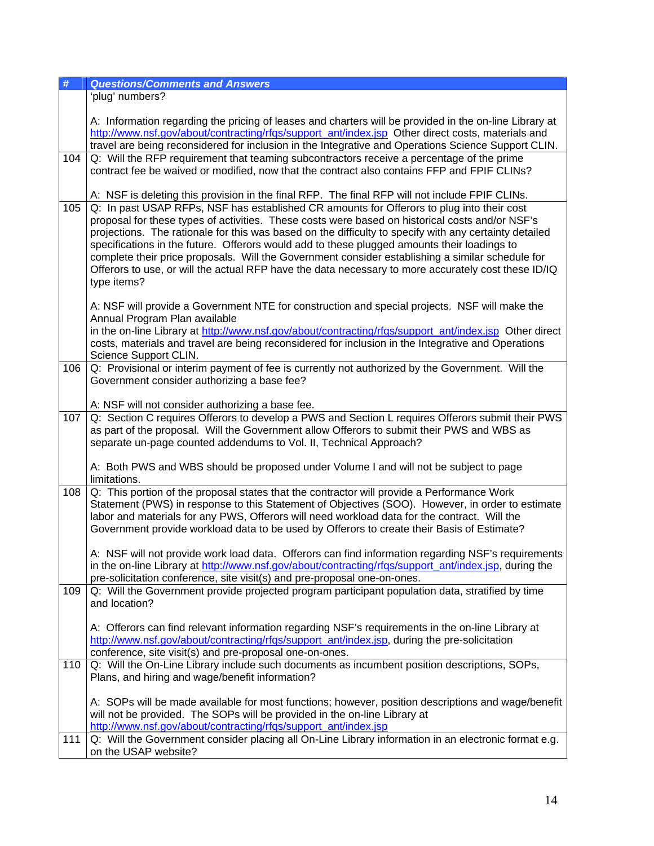| #   | <b>Questions/Comments and Answers</b>                                                                                                                                                                                                                                                                                                                                                                                                                                                                                                                                                                                           |
|-----|---------------------------------------------------------------------------------------------------------------------------------------------------------------------------------------------------------------------------------------------------------------------------------------------------------------------------------------------------------------------------------------------------------------------------------------------------------------------------------------------------------------------------------------------------------------------------------------------------------------------------------|
|     | 'plug' numbers?                                                                                                                                                                                                                                                                                                                                                                                                                                                                                                                                                                                                                 |
| 104 | A: Information regarding the pricing of leases and charters will be provided in the on-line Library at<br>http://www.nsf.gov/about/contracting/rfgs/support_ant/index.jsp Other direct costs, materials and<br>travel are being reconsidered for inclusion in the Integrative and Operations Science Support CLIN.<br>Q: Will the RFP requirement that teaming subcontractors receive a percentage of the prime                                                                                                                                                                                                                 |
|     | contract fee be waived or modified, now that the contract also contains FFP and FPIF CLINs?<br>A: NSF is deleting this provision in the final RFP. The final RFP will not include FPIF CLINs.                                                                                                                                                                                                                                                                                                                                                                                                                                   |
| 105 | Q: In past USAP RFPs, NSF has established CR amounts for Offerors to plug into their cost<br>proposal for these types of activities. These costs were based on historical costs and/or NSF's<br>projections. The rationale for this was based on the difficulty to specify with any certainty detailed<br>specifications in the future. Offerors would add to these plugged amounts their loadings to<br>complete their price proposals. Will the Government consider establishing a similar schedule for<br>Offerors to use, or will the actual RFP have the data necessary to more accurately cost these ID/IQ<br>type items? |
|     | A: NSF will provide a Government NTE for construction and special projects. NSF will make the<br>Annual Program Plan available<br>in the on-line Library at http://www.nsf.gov/about/contracting/rfqs/support_ant/index.jsp Other direct<br>costs, materials and travel are being reconsidered for inclusion in the Integrative and Operations<br>Science Support CLIN.                                                                                                                                                                                                                                                         |
| 106 | Q: Provisional or interim payment of fee is currently not authorized by the Government. Will the<br>Government consider authorizing a base fee?                                                                                                                                                                                                                                                                                                                                                                                                                                                                                 |
|     | A: NSF will not consider authorizing a base fee.                                                                                                                                                                                                                                                                                                                                                                                                                                                                                                                                                                                |
| 107 | Q: Section C requires Offerors to develop a PWS and Section L requires Offerors submit their PWS<br>as part of the proposal. Will the Government allow Offerors to submit their PWS and WBS as<br>separate un-page counted addendums to Vol. II, Technical Approach?                                                                                                                                                                                                                                                                                                                                                            |
|     | A: Both PWS and WBS should be proposed under Volume I and will not be subject to page<br>limitations.                                                                                                                                                                                                                                                                                                                                                                                                                                                                                                                           |
| 108 | Q: This portion of the proposal states that the contractor will provide a Performance Work<br>Statement (PWS) in response to this Statement of Objectives (SOO). However, in order to estimate<br>labor and materials for any PWS, Offerors will need workload data for the contract. Will the<br>Government provide workload data to be used by Offerors to create their Basis of Estimate?                                                                                                                                                                                                                                    |
|     | A: NSF will not provide work load data. Offerors can find information regarding NSF's requirements<br>in the on-line Library at http://www.nsf.gov/about/contracting/rfqs/support_ant/index.jsp, during the<br>pre-solicitation conference, site visit(s) and pre-proposal one-on-ones.                                                                                                                                                                                                                                                                                                                                         |
| 109 | Q: Will the Government provide projected program participant population data, stratified by time<br>and location?                                                                                                                                                                                                                                                                                                                                                                                                                                                                                                               |
|     | A: Offerors can find relevant information regarding NSF's requirements in the on-line Library at<br>http://www.nsf.gov/about/contracting/rfqs/support_ant/index.jsp, during the pre-solicitation<br>conference, site visit(s) and pre-proposal one-on-ones.                                                                                                                                                                                                                                                                                                                                                                     |
| 110 | Q: Will the On-Line Library include such documents as incumbent position descriptions, SOPs,<br>Plans, and hiring and wage/benefit information?                                                                                                                                                                                                                                                                                                                                                                                                                                                                                 |
|     | A: SOPs will be made available for most functions; however, position descriptions and wage/benefit<br>will not be provided. The SOPs will be provided in the on-line Library at<br>http://www.nsf.gov/about/contracting/rfqs/support_ant/index.jsp                                                                                                                                                                                                                                                                                                                                                                              |
| 111 | Q: Will the Government consider placing all On-Line Library information in an electronic format e.g.<br>on the USAP website?                                                                                                                                                                                                                                                                                                                                                                                                                                                                                                    |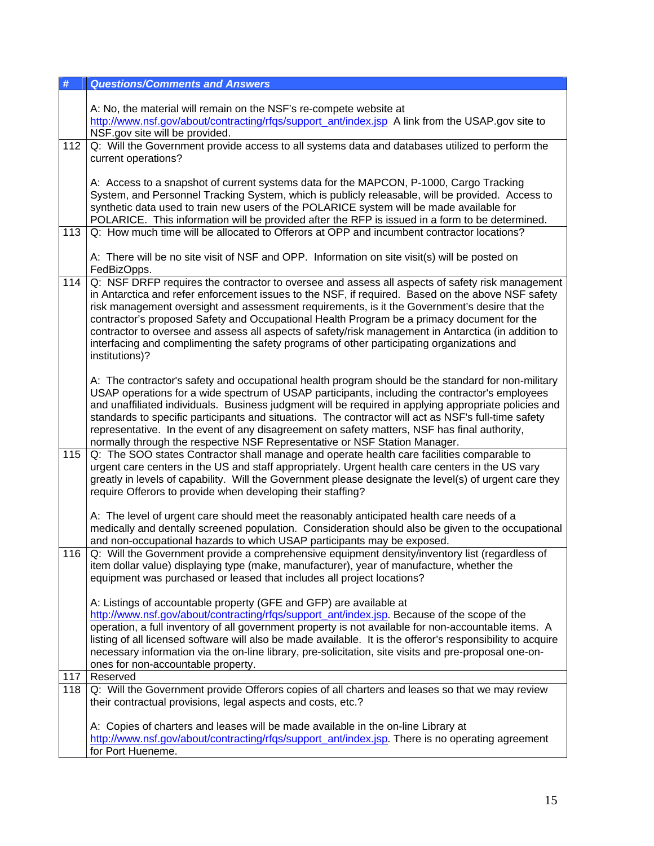| #   | <b>Questions/Comments and Answers</b>                                                                                                                                                                                                                                                                                                                                                                                                                                                                                                                                                                                       |
|-----|-----------------------------------------------------------------------------------------------------------------------------------------------------------------------------------------------------------------------------------------------------------------------------------------------------------------------------------------------------------------------------------------------------------------------------------------------------------------------------------------------------------------------------------------------------------------------------------------------------------------------------|
|     | A: No, the material will remain on the NSF's re-compete website at<br>http://www.nsf.gov/about/contracting/rfgs/support_ant/index.jsp A link from the USAP.gov site to<br>NSF.gov site will be provided.                                                                                                                                                                                                                                                                                                                                                                                                                    |
| 112 | Q: Will the Government provide access to all systems data and databases utilized to perform the<br>current operations?                                                                                                                                                                                                                                                                                                                                                                                                                                                                                                      |
|     | A: Access to a snapshot of current systems data for the MAPCON, P-1000, Cargo Tracking<br>System, and Personnel Tracking System, which is publicly releasable, will be provided. Access to<br>synthetic data used to train new users of the POLARICE system will be made available for<br>POLARICE. This information will be provided after the RFP is issued in a form to be determined.                                                                                                                                                                                                                                   |
| 113 | Q: How much time will be allocated to Offerors at OPP and incumbent contractor locations?                                                                                                                                                                                                                                                                                                                                                                                                                                                                                                                                   |
|     | A: There will be no site visit of NSF and OPP. Information on site visit(s) will be posted on<br>FedBizOpps.                                                                                                                                                                                                                                                                                                                                                                                                                                                                                                                |
| 114 | Q: NSF DRFP requires the contractor to oversee and assess all aspects of safety risk management<br>in Antarctica and refer enforcement issues to the NSF, if required. Based on the above NSF safety<br>risk management oversight and assessment requirements, is it the Government's desire that the<br>contractor's proposed Safety and Occupational Health Program be a primacy document for the<br>contractor to oversee and assess all aspects of safety/risk management in Antarctica (in addition to<br>interfacing and complimenting the safety programs of other participating organizations and<br>institutions)? |
|     | A: The contractor's safety and occupational health program should be the standard for non-military<br>USAP operations for a wide spectrum of USAP participants, including the contractor's employees<br>and unaffiliated individuals. Business judgment will be required in applying appropriate policies and<br>standards to specific participants and situations. The contractor will act as NSF's full-time safety<br>representative. In the event of any disagreement on safety matters, NSF has final authority,<br>normally through the respective NSF Representative or NSF Station Manager.                         |
| 115 | Q: The SOO states Contractor shall manage and operate health care facilities comparable to<br>urgent care centers in the US and staff appropriately. Urgent health care centers in the US vary<br>greatly in levels of capability. Will the Government please designate the level(s) of urgent care they<br>require Offerors to provide when developing their staffing?                                                                                                                                                                                                                                                     |
|     | A: The level of urgent care should meet the reasonably anticipated health care needs of a<br>medically and dentally screened population. Consideration should also be given to the occupational<br>and non-occupational hazards to which USAP participants may be exposed.                                                                                                                                                                                                                                                                                                                                                  |
|     | 116   Q: Will the Government provide a comprehensive equipment density/inventory list (regardless of<br>item dollar value) displaying type (make, manufacturer), year of manufacture, whether the<br>equipment was purchased or leased that includes all project locations?                                                                                                                                                                                                                                                                                                                                                 |
|     | A: Listings of accountable property (GFE and GFP) are available at<br>http://www.nsf.gov/about/contracting/rfgs/support_ant/index.jsp. Because of the scope of the<br>operation, a full inventory of all government property is not available for non-accountable items. A<br>listing of all licensed software will also be made available. It is the offeror's responsibility to acquire<br>necessary information via the on-line library, pre-solicitation, site visits and pre-proposal one-on-<br>ones for non-accountable property.                                                                                    |
| 117 | Reserved                                                                                                                                                                                                                                                                                                                                                                                                                                                                                                                                                                                                                    |
| 118 | $\alpha$ : Will the Government provide Offerors copies of all charters and leases so that we may review<br>their contractual provisions, legal aspects and costs, etc.?                                                                                                                                                                                                                                                                                                                                                                                                                                                     |
|     | A: Copies of charters and leases will be made available in the on-line Library at<br>http://www.nsf.gov/about/contracting/rfgs/support_ant/index.jsp. There is no operating agreement<br>for Port Hueneme.                                                                                                                                                                                                                                                                                                                                                                                                                  |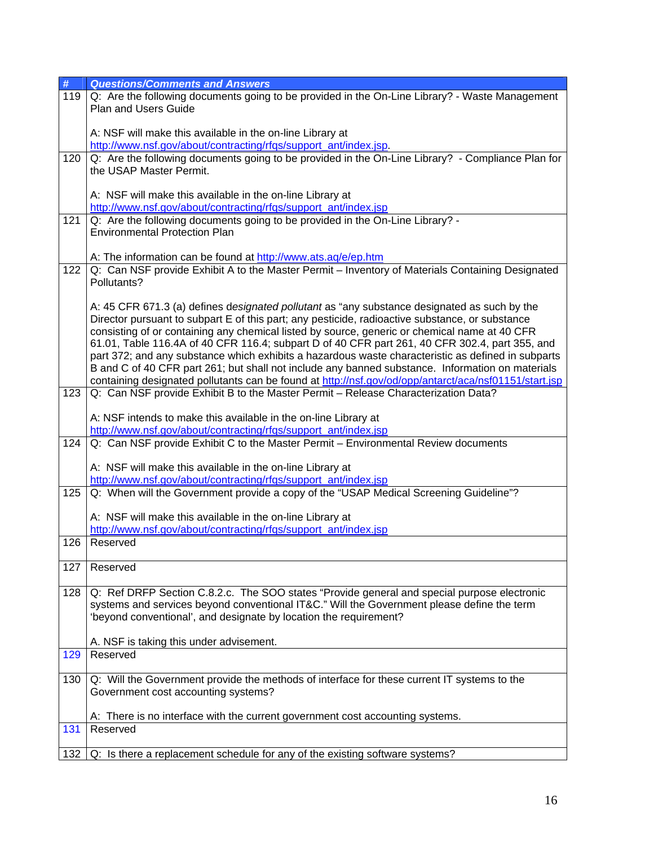| $\#$ | <b>Questions/Comments and Answers</b>                                                                                         |
|------|-------------------------------------------------------------------------------------------------------------------------------|
| 119  | Q: Are the following documents going to be provided in the On-Line Library? - Waste Management<br><b>Plan and Users Guide</b> |
|      | A: NSF will make this available in the on-line Library at                                                                     |
|      | http://www.nsf.gov/about/contracting/rfgs/support_ant/index.jsp.                                                              |
| 120  | Q: Are the following documents going to be provided in the On-Line Library? - Compliance Plan for                             |
|      | the USAP Master Permit.                                                                                                       |
|      | A: NSF will make this available in the on-line Library at<br>http://www.nsf.gov/about/contracting/rfqs/support_ant/index.jsp  |
| 121  | Q: Are the following documents going to be provided in the On-Line Library? -                                                 |
|      | <b>Environmental Protection Plan</b>                                                                                          |
|      | A: The information can be found at http://www.ats.aq/e/ep.htm                                                                 |
| 122  | Q: Can NSF provide Exhibit A to the Master Permit - Inventory of Materials Containing Designated                              |
|      | Pollutants?                                                                                                                   |
|      | A: 45 CFR 671.3 (a) defines designated pollutant as "any substance designated as such by the                                  |
|      | Director pursuant to subpart E of this part; any pesticide, radioactive substance, or substance                               |
|      | consisting of or containing any chemical listed by source, generic or chemical name at 40 CFR                                 |
|      | 61.01, Table 116.4A of 40 CFR 116.4; subpart D of 40 CFR part 261, 40 CFR 302.4, part 355, and                                |
|      | part 372; and any substance which exhibits a hazardous waste characteristic as defined in subparts                            |
|      | B and C of 40 CFR part 261; but shall not include any banned substance. Information on materials                              |
|      | containing designated pollutants can be found at http://nsf.gov/od/opp/antarct/aca/nsf01151/start.jsp                         |
| 123  | Q: Can NSF provide Exhibit B to the Master Permit - Release Characterization Data?                                            |
|      |                                                                                                                               |
|      | A: NSF intends to make this available in the on-line Library at                                                               |
|      | http://www.nsf.gov/about/contracting/rfqs/support_ant/index.jsp                                                               |
| 124  | Q: Can NSF provide Exhibit C to the Master Permit - Environmental Review documents                                            |
|      | A: NSF will make this available in the on-line Library at                                                                     |
|      | http://www.nsf.gov/about/contracting/rfqs/support_ant/index.jsp                                                               |
| 125  | Q: When will the Government provide a copy of the "USAP Medical Screening Guideline"?                                         |
|      | A: NSF will make this available in the on-line Library at                                                                     |
|      | http://www.nsf.gov/about/contracting/rfqs/support_ant/index.jsp                                                               |
| 126  | Reserved                                                                                                                      |
| 127  | Reserved                                                                                                                      |
| 128  | Q: Ref DRFP Section C.8.2.c. The SOO states "Provide general and special purpose electronic                                   |
|      | systems and services beyond conventional IT&C." Will the Government please define the term                                    |
|      | 'beyond conventional', and designate by location the requirement?                                                             |
|      |                                                                                                                               |
|      | A. NSF is taking this under advisement.                                                                                       |
| 129  | Reserved                                                                                                                      |
| 130  | Q: Will the Government provide the methods of interface for these current IT systems to the                                   |
|      | Government cost accounting systems?                                                                                           |
|      |                                                                                                                               |
|      | A: There is no interface with the current government cost accounting systems.                                                 |
| 131  | Reserved                                                                                                                      |
| 132  | Q: Is there a replacement schedule for any of the existing software systems?                                                  |
|      |                                                                                                                               |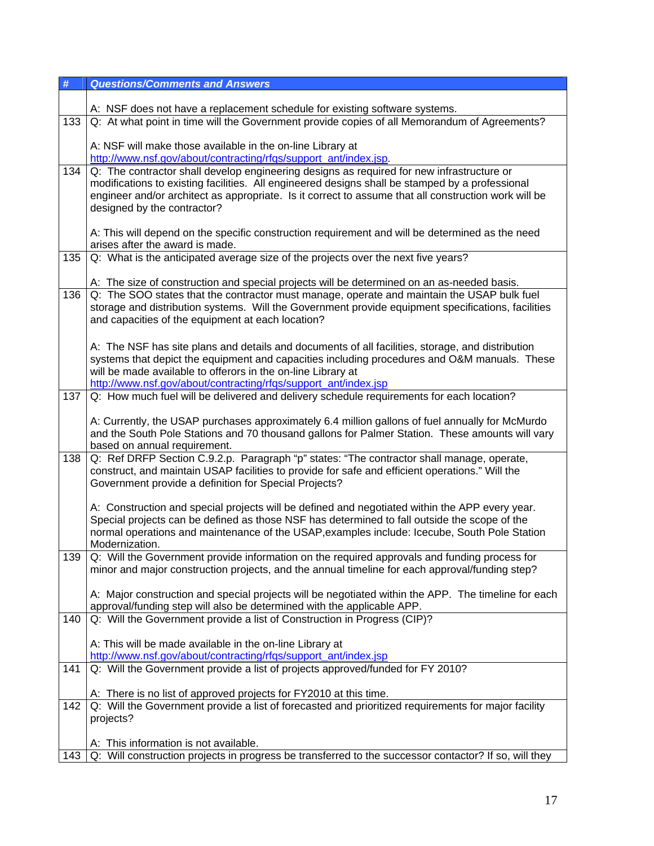| #   | <b>Questions/Comments and Answers</b>                                                                                                                                                          |
|-----|------------------------------------------------------------------------------------------------------------------------------------------------------------------------------------------------|
|     |                                                                                                                                                                                                |
|     | A: NSF does not have a replacement schedule for existing software systems.                                                                                                                     |
| 133 | Q: At what point in time will the Government provide copies of all Memorandum of Agreements?                                                                                                   |
|     | A: NSF will make those available in the on-line Library at                                                                                                                                     |
|     | http://www.nsf.gov/about/contracting/rfgs/support_ant/index.jsp.                                                                                                                               |
| 134 | Q: The contractor shall develop engineering designs as required for new infrastructure or                                                                                                      |
|     | modifications to existing facilities. All engineered designs shall be stamped by a professional                                                                                                |
|     | engineer and/or architect as appropriate. Is it correct to assume that all construction work will be                                                                                           |
|     | designed by the contractor?                                                                                                                                                                    |
|     |                                                                                                                                                                                                |
|     | A: This will depend on the specific construction requirement and will be determined as the need<br>arises after the award is made.                                                             |
| 135 | Q: What is the anticipated average size of the projects over the next five years?                                                                                                              |
|     |                                                                                                                                                                                                |
|     | A: The size of construction and special projects will be determined on an as-needed basis.                                                                                                     |
| 136 | Q: The SOO states that the contractor must manage, operate and maintain the USAP bulk fuel                                                                                                     |
|     | storage and distribution systems. Will the Government provide equipment specifications, facilities                                                                                             |
|     | and capacities of the equipment at each location?                                                                                                                                              |
|     |                                                                                                                                                                                                |
|     | A: The NSF has site plans and details and documents of all facilities, storage, and distribution                                                                                               |
|     | systems that depict the equipment and capacities including procedures and O&M manuals. These<br>will be made available to offerors in the on-line Library at                                   |
|     | http://www.nsf.gov/about/contracting/rfqs/support_ant/index.jsp                                                                                                                                |
| 137 | Q: How much fuel will be delivered and delivery schedule requirements for each location?                                                                                                       |
|     |                                                                                                                                                                                                |
|     | A: Currently, the USAP purchases approximately 6.4 million gallons of fuel annually for McMurdo                                                                                                |
|     | and the South Pole Stations and 70 thousand gallons for Palmer Station. These amounts will vary                                                                                                |
|     | based on annual requirement.                                                                                                                                                                   |
| 138 | Q: Ref DRFP Section C.9.2.p. Paragraph "p" states: "The contractor shall manage, operate,<br>construct, and maintain USAP facilities to provide for safe and efficient operations." Will the   |
|     | Government provide a definition for Special Projects?                                                                                                                                          |
|     |                                                                                                                                                                                                |
|     | A: Construction and special projects will be defined and negotiated within the APP every year.                                                                                                 |
|     | Special projects can be defined as those NSF has determined to fall outside the scope of the                                                                                                   |
|     | normal operations and maintenance of the USAP, examples include: Icecube, South Pole Station                                                                                                   |
|     | Modernization.                                                                                                                                                                                 |
| 139 | Q: Will the Government provide information on the required approvals and funding process for<br>minor and major construction projects, and the annual timeline for each approval/funding step? |
|     |                                                                                                                                                                                                |
|     | A: Major construction and special projects will be negotiated within the APP. The timeline for each                                                                                            |
|     | approval/funding step will also be determined with the applicable APP.                                                                                                                         |
| 140 | Q: Will the Government provide a list of Construction in Progress (CIP)?                                                                                                                       |
|     |                                                                                                                                                                                                |
|     | A: This will be made available in the on-line Library at                                                                                                                                       |
|     | http://www.nsf.gov/about/contracting/rfqs/support_ant/index.jsp                                                                                                                                |
| 141 | Q: Will the Government provide a list of projects approved/funded for FY 2010?                                                                                                                 |
|     | A: There is no list of approved projects for FY2010 at this time.                                                                                                                              |
| 142 | Q: Will the Government provide a list of forecasted and prioritized requirements for major facility                                                                                            |
|     | projects?                                                                                                                                                                                      |
|     |                                                                                                                                                                                                |
|     | A: This information is not available.                                                                                                                                                          |
| 143 | Q: Will construction projects in progress be transferred to the successor contactor? If so, will they                                                                                          |